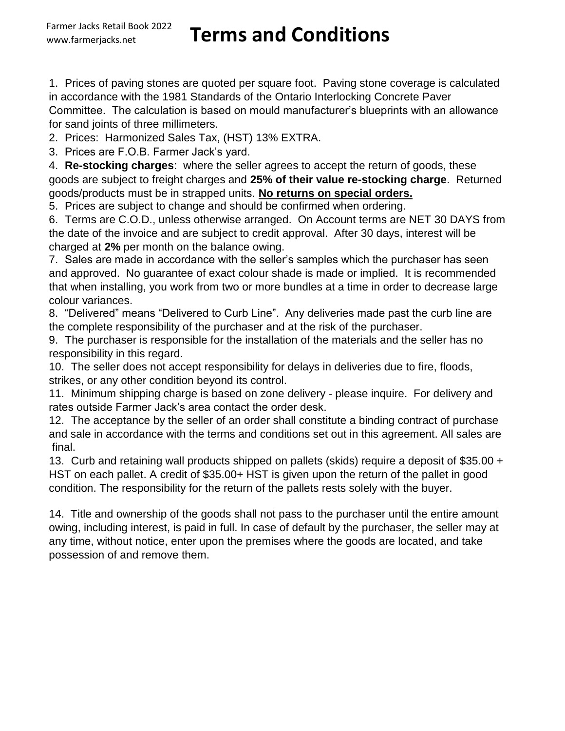## www.farmerjacks.net **Terms and Conditions**

1. Prices of paving stones are quoted per square foot. Paving stone coverage is calculated in accordance with the 1981 Standards of the Ontario Interlocking Concrete Paver Committee. The calculation is based on mould manufacturer's blueprints with an allowance for sand joints of three millimeters.

2. Prices: Harmonized Sales Tax, (HST) 13% EXTRA.

3. Prices are F.O.B. Farmer Jack's yard.

4. **Re-stocking charges**: where the seller agrees to accept the return of goods, these goods are subject to freight charges and **25% of their value re-stocking charge**. Returned goods/products must be in strapped units. **No returns on special orders.**

5. Prices are subject to change and should be confirmed when ordering.

6. Terms are C.O.D., unless otherwise arranged. On Account terms are NET 30 DAYS from the date of the invoice and are subject to credit approval. After 30 days, interest will be charged at **2%** per month on the balance owing.

7. Sales are made in accordance with the seller's samples which the purchaser has seen and approved. No guarantee of exact colour shade is made or implied. It is recommended that when installing, you work from two or more bundles at a time in order to decrease large colour variances.

8. "Delivered" means "Delivered to Curb Line". Any deliveries made past the curb line are the complete responsibility of the purchaser and at the risk of the purchaser.

9. The purchaser is responsible for the installation of the materials and the seller has no responsibility in this regard.

10. The seller does not accept responsibility for delays in deliveries due to fire, floods, strikes, or any other condition beyond its control.

11. Minimum shipping charge is based on zone delivery - please inquire. For delivery and rates outside Farmer Jack's area contact the order desk.

 final. 12. The acceptance by the seller of an order shall constitute a binding contract of purchase and sale in accordance with the terms and conditions set out in this agreement. All sales are

13. Curb and retaining wall products shipped on pallets (skids) require a deposit of \$35.00 + HST on each pallet. A credit of \$35.00+ HST is given upon the return of the pallet in good condition. The responsibility for the return of the pallets rests solely with the buyer.

14. Title and ownership of the goods shall not pass to the purchaser until the entire amount owing, including interest, is paid in full. In case of default by the purchaser, the seller may at any time, without notice, enter upon the premises where the goods are located, and take possession of and remove them.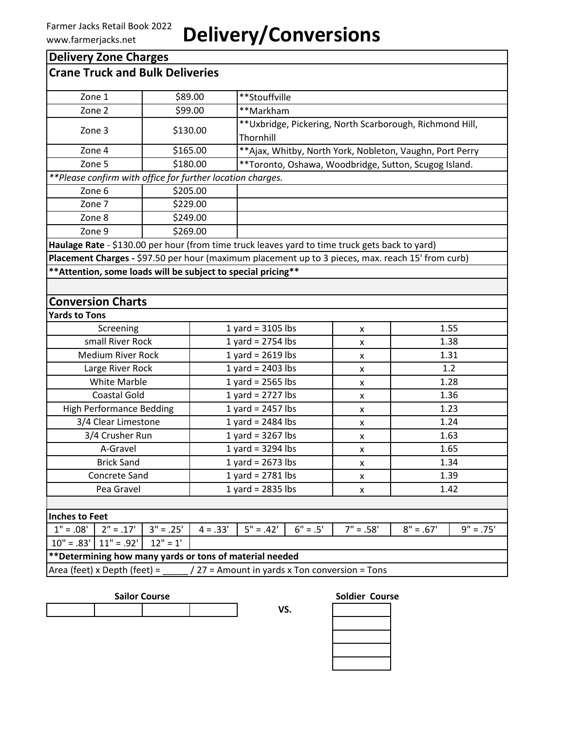### **Delivery Zone Charges**

| <b>Crane Truck and Bulk Deliveries</b>                                                                              |             |                                                                        |                     |            |                                                |                                                           |             |
|---------------------------------------------------------------------------------------------------------------------|-------------|------------------------------------------------------------------------|---------------------|------------|------------------------------------------------|-----------------------------------------------------------|-------------|
| Zone 1                                                                                                              |             | \$89.00                                                                | **Stouffville       |            |                                                |                                                           |             |
| Zone 2                                                                                                              |             | \$99.00<br>**Markham                                                   |                     |            |                                                |                                                           |             |
| Zone 3<br>\$130.00                                                                                                  |             | ** Uxbridge, Pickering, North Scarborough, Richmond Hill,<br>Thornhill |                     |            |                                                |                                                           |             |
| Zone 4                                                                                                              |             | \$165.00                                                               |                     |            |                                                | ** Ajax, Whitby, North York, Nobleton, Vaughn, Port Perry |             |
| Zone 5                                                                                                              |             | \$180.00                                                               |                     |            |                                                |                                                           |             |
| **Toronto, Oshawa, Woodbridge, Sutton, Scugog Island.<br>**Please confirm with office for further location charges. |             |                                                                        |                     |            |                                                |                                                           |             |
| Zone 6                                                                                                              |             | \$205.00                                                               |                     |            |                                                |                                                           |             |
| Zone 7                                                                                                              |             | \$229.00                                                               |                     |            |                                                |                                                           |             |
| Zone 8                                                                                                              |             | \$249.00                                                               |                     |            |                                                |                                                           |             |
| Zone 9                                                                                                              |             | \$269.00                                                               |                     |            |                                                |                                                           |             |
| Haulage Rate - \$130.00 per hour (from time truck leaves yard to time truck gets back to yard)                      |             |                                                                        |                     |            |                                                |                                                           |             |
| Placement Charges - \$97.50 per hour (maximum placement up to 3 pieces, max. reach 15' from curb)                   |             |                                                                        |                     |            |                                                |                                                           |             |
| ** Attention, some loads will be subject to special pricing**                                                       |             |                                                                        |                     |            |                                                |                                                           |             |
|                                                                                                                     |             |                                                                        |                     |            |                                                |                                                           |             |
| <b>Conversion Charts</b>                                                                                            |             |                                                                        |                     |            |                                                |                                                           |             |
| <b>Yards to Tons</b>                                                                                                |             |                                                                        |                     |            |                                                |                                                           |             |
| Screening                                                                                                           |             |                                                                        | 1 yard = $3105$ lbs |            | x                                              | 1.55                                                      |             |
| small River Rock                                                                                                    |             |                                                                        | 1 yard = $2754$ lbs |            | X                                              | 1.38                                                      |             |
| <b>Medium River Rock</b><br>1 yard = $2619$ lbs                                                                     |             |                                                                        | x                   | 1.31       |                                                |                                                           |             |
| Large River Rock                                                                                                    |             |                                                                        | 1 yard = $2403$ lbs |            | x                                              | 1.2                                                       |             |
| <b>White Marble</b>                                                                                                 |             |                                                                        | 1 yard = $2565$ lbs |            | X                                              | 1.28                                                      |             |
| <b>Coastal Gold</b>                                                                                                 |             |                                                                        | 1 yard = $2727$ lbs |            | x                                              | 1.36                                                      |             |
| <b>High Performance Bedding</b>                                                                                     |             |                                                                        | 1 yard = $2457$ lbs |            | X                                              | 1.23                                                      |             |
| 3/4 Clear Limestone                                                                                                 |             |                                                                        | 1 yard = $2484$ lbs |            | X                                              | 1.24                                                      |             |
| 3/4 Crusher Run                                                                                                     |             |                                                                        | 1 yard = $3267$ lbs |            | x                                              | 1.63                                                      |             |
| A-Gravel                                                                                                            |             | 1 yard = $3294$ lbs                                                    |                     | X          | 1.65                                           |                                                           |             |
| <b>Brick Sand</b>                                                                                                   |             | 1 yard = $2673$ lbs                                                    |                     | x          | 1.34                                           |                                                           |             |
| Concrete Sand                                                                                                       |             | 1 yard = $2781$ lbs<br>1.39<br>x                                       |                     |            |                                                |                                                           |             |
| Pea Gravel                                                                                                          |             | 1 yard = $2835$ lbs<br>1.42<br>X                                       |                     |            |                                                |                                                           |             |
|                                                                                                                     |             |                                                                        |                     |            |                                                |                                                           |             |
| <b>Inches to Feet</b>                                                                                               |             |                                                                        |                     |            |                                                |                                                           |             |
| $1" = .08'$<br>$2" = .17'$                                                                                          | $3" = .25'$ | $4 = .33'$                                                             | $5" = .42"$         | $6" = .5"$ | $7" = .58"$                                    | $8" = .67"$                                               | $9" = .75"$ |
| $10" = .83'$<br>$11" = .92'$                                                                                        | $12" = 1'$  |                                                                        |                     |            |                                                |                                                           |             |
| ** Determining how many yards or tons of material needed                                                            |             |                                                                        |                     |            |                                                |                                                           |             |
| Area (feet) x Depth (feet) =                                                                                        |             |                                                                        |                     |            | / 27 = Amount in yards x Ton conversion = Tons |                                                           |             |

**VS.**

**Sailor Course Soldier Course**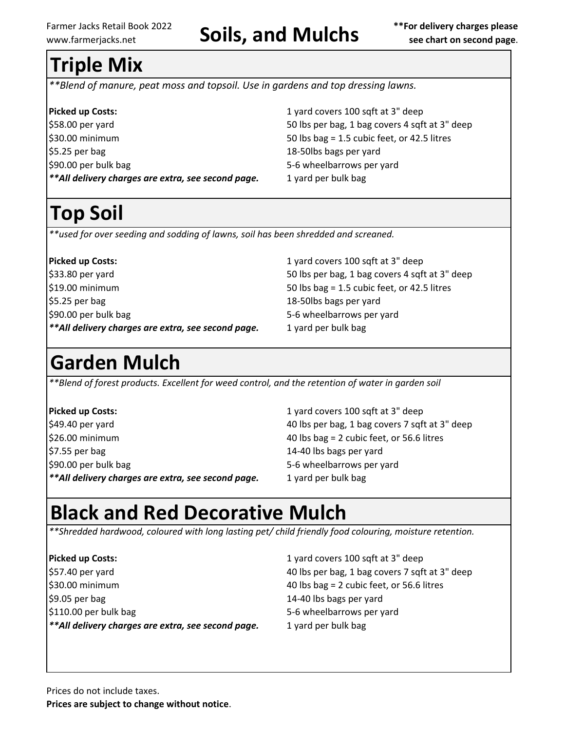# Farmer Jacks Retail Book 2022<br>www.farmerjacks.net **Soils, and Mulchs** *exection second page.*

# **Triple Mix**

*\*\*Blend of manure, peat moss and topsoil. Use in gardens and top dressing lawns.*

| <b>Picked up Costs:</b>                            |
|----------------------------------------------------|
| \$58.00 per yard                                   |
| \$30.00 minimum                                    |
| $$5.25$ per bag                                    |
| \$90.00 per bulk bag                               |
| **All delivery charges are extra, see second page. |

**Picked up Costs:** 1 yard covers 100 sqft at 3" deep 50 lbs per bag, 1 bag covers 4 sqft at 3" deep  $50$  lbs bag = 1.5 cubic feet, or 42.5 litres 18-50lbs bags per yard 5-6 wheelbarrows per yard *\*\*All delivery charges are extra, see second page.* 1 yard per bulk bag

# **Top Soil**

*\*\*used for over seeding and sodding of lawns, soil has been shredded and screaned.* 

**Picked up Costs:** 1 yard covers 100 sqft at 3" deep \$33.80 per yard 50 lbs per bag, 1 bag covers 4 sqft at 3" deep \$19.00 minimum 50 lbs bag = 1.5 cubic feet, or 42.5 litres \$5.25 per bag 18-50lbs bags per yard \$90.00 per bulk bag 5-6 wheelbarrows per yard \*\*All delivery charges are extra, see second page. 1 yard per bulk bag

## **Garden Mulch**

*\*\*Blend of forest products. Excellent for weed control, and the retention of water in garden soil*

\$26.00 minimum 40 lbs bag = 2 cubic feet, or 56.6 litres \$7.55 per bag 14-40 lbs bags per yard \$90.00 per bulk bag 5-6 wheelbarrows per yard \*\*All delivery charges are extra, see second page. 1 yard per bulk bag

**Picked up Costs:** 1 yard covers 100 sqft at 3" deep \$49.40 per yard 40 lbs per bag, 1 bag covers 7 sqft at 3" deep

## **Black and Red Decorative Mulch**

*\*\*Shredded hardwood, coloured with long lasting pet/ child friendly food colouring, moisture retention.*

**Picked up Costs:** 1 yard covers 100 sqft at 3" deep \$57.40 per yard 40 lbs per bag, 1 bag covers 7 sqft at 3" deep \$30.00 minimum 40 lbs bag = 2 cubic feet, or 56.6 litres \$9.05 per bag 14-40 lbs bags per yard \$110.00 per bulk bag 5-6 wheelbarrows per yard \*\*All delivery charges are extra, see second page. 1 yard per bulk bag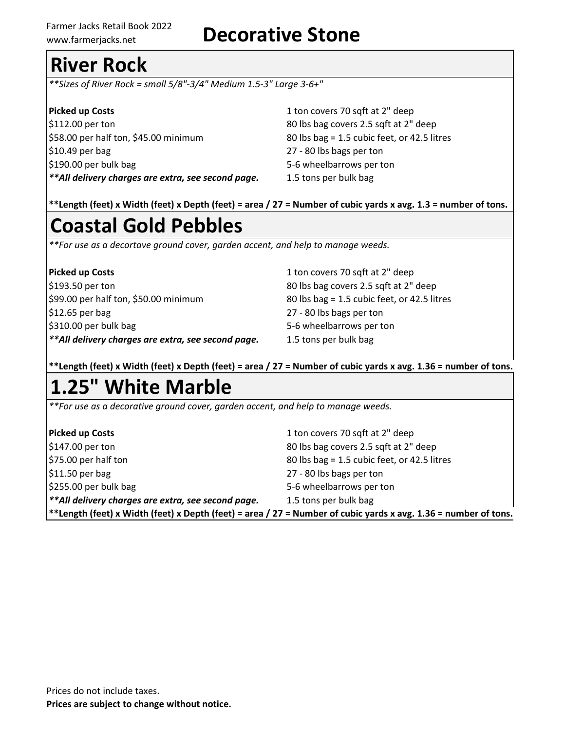## www.farmerjacks.net **Decorative Stone**

# **River Rock**

*\*\*Sizes of River Rock = small 5/8"-3/4" Medium 1.5-3" Large 3-6+"* 

**Picked up Costs** 1 ton covers 70 sqft at 2" deep \$112.00 per ton 80 lbs bag covers 2.5 sqft at 2" deep \$58.00 per half ton, \$45.00 minimum 80 lbs bag = 1.5 cubic feet, or 42.5 litres \$10.49 per bag 27 - 80 lbs bags per ton \$190.00 per bulk bag 5-6 wheelbarrows per ton *\*\*All delivery charges are extra, see second page.* 1.5 tons per bulk bag

**\*\*Length (feet) x Width (feet) x Depth (feet) = area / 27 = Number of cubic yards x avg. 1.3 = number of tons.**

# **Coastal Gold Pebbles**

*\*\*For use as a decortave ground cover, garden accent, and help to manage weeds.*

| <b>Picked up Costs</b>                              |  |
|-----------------------------------------------------|--|
| \$193.50 per ton                                    |  |
| \$99.00 per half ton, \$50.00 minimum               |  |
| \$12.65 per bag                                     |  |
| \$310.00 per bulk bag                               |  |
| ** All delivery charges are extra, see second page. |  |

**Picked up Costs** 1 ton covers 70 sqft at 2" deep 80 lbs bag covers 2.5 sqft at 2" deep  $80$  lbs bag = 1.5 cubic feet, or 42.5 litres 27 - 80 lbs bags per ton 5-6 wheelbarrows per ton 1.5 tons per bulk bag

**\*\*Length (feet) x Width (feet) x Depth (feet) = area / 27 = Number of cubic yards x avg. 1.36 = number of tons.**

# **1.25" White Marble**

*\*\*For use as a decorative ground cover, garden accent, and help to manage weeds.*

| <b>Picked up Costs</b>                                                                                                 | 1 ton covers 70 sqft at 2" deep             |  |
|------------------------------------------------------------------------------------------------------------------------|---------------------------------------------|--|
| $$147.00$ per ton                                                                                                      | 80 lbs bag covers 2.5 sqft at 2" deep       |  |
| \$75.00 per half ton                                                                                                   | 80 lbs bag = 1.5 cubic feet, or 42.5 litres |  |
| $$11.50$ per bag                                                                                                       | 27 - 80 lbs bags per ton                    |  |
| $$255.00$ per bulk bag                                                                                                 | 5-6 wheelbarrows per ton                    |  |
| **All delivery charges are extra, see second page.                                                                     | 1.5 tons per bulk bag                       |  |
| $ ^{**}$ Length (feet) x Width (feet) x Depth (feet) = area / 27 = Number of cubic yards x avg. 1.36 = number of tons. |                                             |  |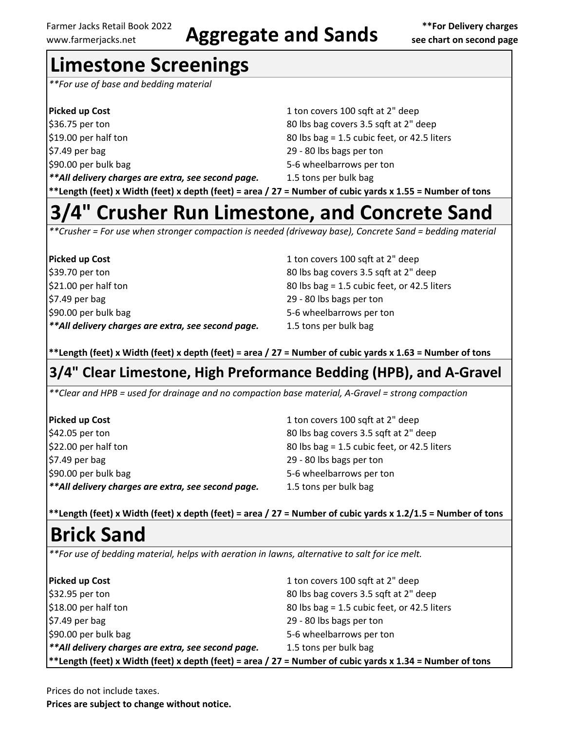# Farmer Jacks Retail Book 2022 **Aggregate and Sands** \*\*For Delivery charges<br>www.farmerjacks.net **Aggregate and Sands** see chart on second page

## **Limestone Screenings**

*\*\*For use of base and bedding material*

| Picked up Cost                                     | 1 ton covers 100 sqft at 2" deep            |
|----------------------------------------------------|---------------------------------------------|
| \$36.75 per ton                                    | 80 lbs bag covers 3.5 sqft at 2" deep       |
| \$19.00 per half ton                               | 80 lbs bag = 1.5 cubic feet, or 42.5 liters |
| $$7.49$ per bag                                    | 29 - 80 lbs bags per ton                    |
| \$90.00 per bulk bag                               | 5-6 wheelbarrows per ton                    |
| **All delivery charges are extra, see second page. | 1.5 tons per bulk bag                       |
|                                                    |                                             |

### **\*\*Length (feet) x Width (feet) x depth (feet) = area / 27 = Number of cubic yards x 1.55 = Number of tons**

## **3/4" Crusher Run Limestone, and Concrete Sand**

*\*\*Crusher = For use when stronger compaction is needed (driveway base), Concrete Sand = bedding material*

| <b>Picked up Cost</b>                               |  |
|-----------------------------------------------------|--|
| \$39.70 per ton                                     |  |
| \$21.00 per half ton                                |  |
| \$7.49 per bag                                      |  |
| \$90.00 per bulk bag                                |  |
| ** All delivery charges are extra, see second page. |  |

1 ton covers 100 sqft at 2" deep 80 lbs bag covers 3.5 sqft at 2" deep  $80$  lbs bag = 1.5 cubic feet, or 42.5 liters 29 - 80 lbs bags per ton 5-6 wheelbarrows per ton *\*\*All delivery charges are extra, see second page.* 1.5 tons per bulk bag

**\*\*Length (feet) x Width (feet) x depth (feet) = area / 27 = Number of cubic yards x 1.63 = Number of tons**

## **3/4" Clear Limestone, High Preformance Bedding (HPB), and A-Gravel**

*\*\*Clear and HPB = used for drainage and no compaction base material, A-Gravel = strong compaction*

| <b>Picked up Cost</b>                              | 1 ton covers 100 sqft at 2" deep            |
|----------------------------------------------------|---------------------------------------------|
| \$42.05 per ton                                    | 80 lbs bag covers 3.5 sqft at 2" deep       |
| \$22.00 per half ton                               | 80 lbs bag = 1.5 cubic feet, or 42.5 liters |
| $$7.49$ per bag                                    | 29 - 80 lbs bags per ton                    |
| \$90.00 per bulk bag                               | 5-6 wheelbarrows per ton                    |
| **All delivery charges are extra, see second page. | 1.5 tons per bulk bag                       |

**\*\*Length (feet) x Width (feet) x depth (feet) = area / 27 = Number of cubic yards x 1.2/1.5 = Number of tons**

## **Brick Sand**

*\*\*For use of bedding material, helps with aeration in lawns, alternative to salt for ice melt.*

| <b>Picked up Cost</b>                                                                                    | 1 ton covers 100 sqft at 2" deep            |  |
|----------------------------------------------------------------------------------------------------------|---------------------------------------------|--|
| \$32.95 per ton                                                                                          | 80 lbs bag covers 3.5 sqft at 2" deep       |  |
| \$18.00 per half ton                                                                                     | 80 lbs bag = 1.5 cubic feet, or 42.5 liters |  |
| $$7.49$ per bag                                                                                          | 29 - 80 lbs bags per ton                    |  |
| \$90.00 per bulk bag                                                                                     | 5-6 wheelbarrows per ton                    |  |
| **All delivery charges are extra, see second page.                                                       | 1.5 tons per bulk bag                       |  |
| *Length (feet) x Width (feet) x depth (feet) = area / 27 = Number of cubic yards x 1.34 = Number of tons |                                             |  |

Prices do not include taxes.

**Prices are subject to change without notice.**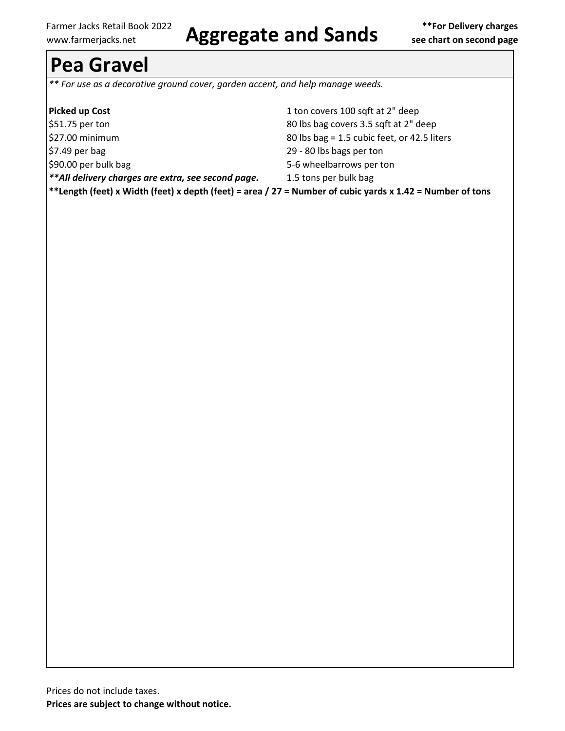# Farmer Jacks Retail Book 2022 **Aggregate and Sands** \*\*For Delivery charges www.farmerjacks.net

## **Pea Gravel**

*\*\* For use as a decorative ground cover, garden accent, and help manage weeds.*

| <b>Picked up Cost</b>                                                                                            | 1 ton covers 100 sqft at 2" deep            |
|------------------------------------------------------------------------------------------------------------------|---------------------------------------------|
| \$51.75 per ton                                                                                                  | 80 lbs bag covers 3.5 sqft at 2" deep       |
| \$27.00 minimum                                                                                                  | 80 lbs bag = 1.5 cubic feet, or 42.5 liters |
| $$7.49$ per bag                                                                                                  | 29 - 80 lbs bags per ton                    |
| \$90.00 per bulk bag                                                                                             | 5-6 wheelbarrows per ton                    |
| **All delivery charges are extra, see second page.                                                               | 1.5 tons per bulk bag                       |
| $ ^{**}$ Length (feet) x Width (feet) x depth (feet) = area / 27 = Number of cubic yards x 1.42 = Number of tons |                                             |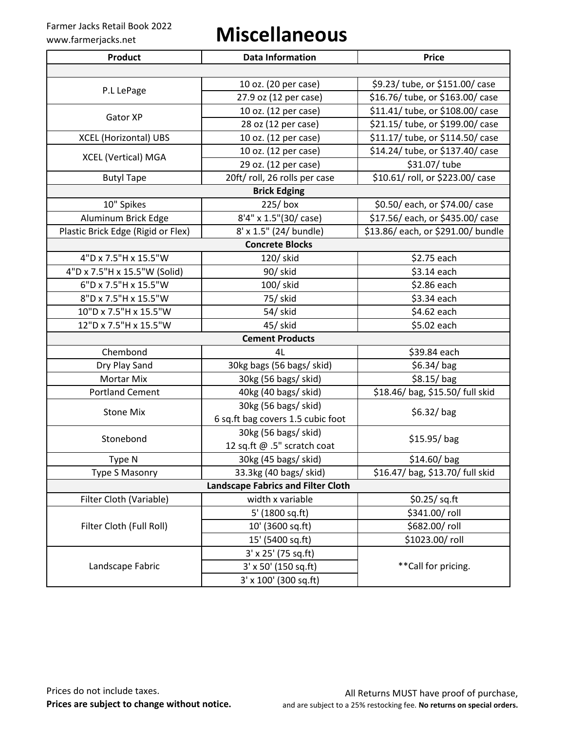## www.farmerjacks.net **Miscellaneous**

| <b>Product</b>                            | <b>Data Information</b>           | <b>Price</b>                       |  |  |
|-------------------------------------------|-----------------------------------|------------------------------------|--|--|
|                                           |                                   |                                    |  |  |
| P.L LePage                                | 10 oz. (20 per case)              | \$9.23/ tube, or \$151.00/ case    |  |  |
|                                           | 27.9 oz (12 per case)             | \$16.76/ tube, or \$163.00/ case   |  |  |
| Gator XP                                  | 10 oz. (12 per case)              | \$11.41/ tube, or \$108.00/ case   |  |  |
|                                           | 28 oz (12 per case)               | \$21.15/ tube, or \$199.00/ case   |  |  |
| <b>XCEL (Horizontal) UBS</b>              | 10 oz. (12 per case)              | \$11.17/ tube, or \$114.50/ case   |  |  |
| <b>XCEL (Vertical) MGA</b>                | 10 oz. (12 per case)              | \$14.24/ tube, or \$137.40/ case   |  |  |
|                                           | 29 oz. (12 per case)              | \$31.07/ tube                      |  |  |
| <b>Butyl Tape</b>                         | 20ft/ roll, 26 rolls per case     | \$10.61/ roll, or \$223.00/ case   |  |  |
|                                           | <b>Brick Edging</b>               |                                    |  |  |
| 10" Spikes                                | 225/box                           | \$0.50/ each, or \$74.00/ case     |  |  |
| Aluminum Brick Edge                       | 8'4" x 1.5"(30/ case)             | \$17.56/ each, or \$435.00/ case   |  |  |
| Plastic Brick Edge (Rigid or Flex)        | 8' x 1.5" (24/ bundle)            | \$13.86/ each, or \$291.00/ bundle |  |  |
|                                           | <b>Concrete Blocks</b>            |                                    |  |  |
| 4"D x 7.5"H x 15.5"W                      | 120/ skid                         | \$2.75 each                        |  |  |
| 4"D x 7.5"H x 15.5"W (Solid)              | 90/ skid                          | \$3.14 each                        |  |  |
| 6"D x 7.5"H x 15.5"W                      | 100/ skid                         | \$2.86 each                        |  |  |
| 8"D x 7.5"H x 15.5"W                      | 75/skid                           | \$3.34 each                        |  |  |
| 10"D x 7.5"H x 15.5"W                     | 54/skid                           | \$4.62 each                        |  |  |
| 12"D x 7.5"H x 15.5"W                     | 45/skid                           | \$5.02 each                        |  |  |
| <b>Cement Products</b>                    |                                   |                                    |  |  |
| Chembond                                  | 4L                                | \$39.84 each                       |  |  |
| Dry Play Sand                             | 30kg bags (56 bags/ skid)         | $$6.34/$ bag                       |  |  |
| <b>Mortar Mix</b>                         | 30kg (56 bags/skid)               | $$8.15/$ bag                       |  |  |
| <b>Portland Cement</b>                    | 40kg (40 bags/ skid)              | \$18.46/ bag, \$15.50/ full skid   |  |  |
|                                           | 30kg (56 bags/ skid)              |                                    |  |  |
| <b>Stone Mix</b>                          | 6 sq.ft bag covers 1.5 cubic foot | $$6.32/$ bag                       |  |  |
|                                           | 30kg (56 bags/skid)               |                                    |  |  |
| Stonebond                                 | 12 sq.ft @ .5" scratch coat       | $$15.95/$ bag                      |  |  |
| Type N                                    | 30kg (45 bags/ skid)              | \$14.60/bag                        |  |  |
| <b>Type S Masonry</b>                     | 33.3kg (40 bags/ skid)            | \$16.47/ bag, \$13.70/ full skid   |  |  |
| <b>Landscape Fabrics and Filter Cloth</b> |                                   |                                    |  |  |
| Filter Cloth (Variable)                   | width x variable                  | \$0.25/ sq. ft                     |  |  |
|                                           | 5' (1800 sq.ft)                   | \$341.00/roll                      |  |  |
| Filter Cloth (Full Roll)                  | 10' (3600 sq.ft)                  | \$682.00/roll                      |  |  |
|                                           | 15' (5400 sq.ft)                  | \$1023.00/roll                     |  |  |
|                                           | $3'$ x 25' (75 sq.ft)             |                                    |  |  |
| Landscape Fabric                          | 3' x 50' (150 sq.ft)              | ** Call for pricing.               |  |  |
|                                           | 3' x 100' (300 sq.ft)             |                                    |  |  |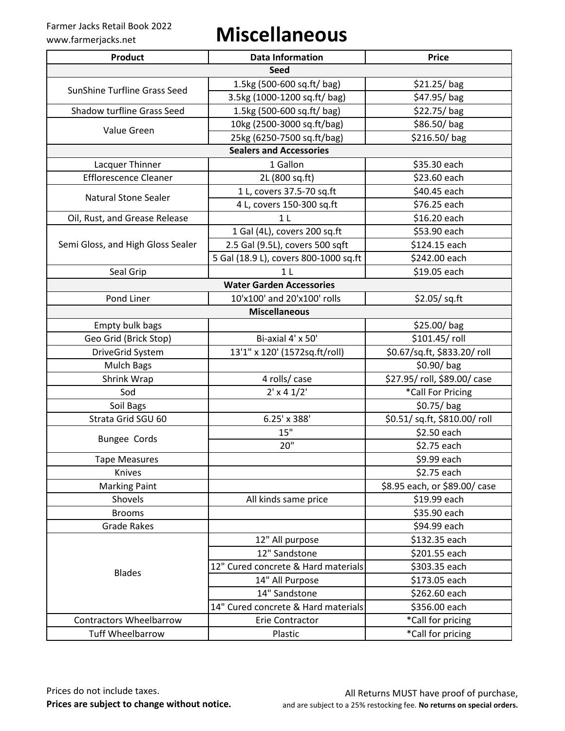## www.farmerjacks.net **Miscellaneous**

| <b>Product</b>                      | <b>Data Information</b>               | <b>Price</b>                  |  |  |
|-------------------------------------|---------------------------------------|-------------------------------|--|--|
| <b>Seed</b>                         |                                       |                               |  |  |
| <b>SunShine Turfline Grass Seed</b> | 1.5kg (500-600 sq.ft/ bag)            | $$21.25/$ bag                 |  |  |
|                                     | 3.5kg (1000-1200 sq.ft/ bag)          | \$47.95/bag                   |  |  |
| Shadow turfline Grass Seed          | 1.5kg (500-600 sq.ft/ bag)            | $$22.75/$ bag                 |  |  |
|                                     | 10kg (2500-3000 sq.ft/bag)            | $$86.50/$ bag                 |  |  |
| Value Green                         | 25kg (6250-7500 sq.ft/bag)            | \$216.50/bag                  |  |  |
|                                     | <b>Sealers and Accessories</b>        |                               |  |  |
| Lacquer Thinner                     | 1 Gallon                              | \$35.30 each                  |  |  |
| <b>Efflorescence Cleaner</b>        | 2L (800 sq.ft)                        | \$23.60 each                  |  |  |
|                                     | 1 L, covers 37.5-70 sq.ft             | \$40.45 each                  |  |  |
| <b>Natural Stone Sealer</b>         | 4 L, covers 150-300 sq.ft             | \$76.25 each                  |  |  |
| Oil, Rust, and Grease Release       | 1 <sub>L</sub>                        | \$16.20 each                  |  |  |
|                                     | 1 Gal (4L), covers 200 sq.ft          | \$53.90 each                  |  |  |
| Semi Gloss, and High Gloss Sealer   | 2.5 Gal (9.5L), covers 500 sqft       | \$124.15 each                 |  |  |
|                                     | 5 Gal (18.9 L), covers 800-1000 sq.ft | \$242.00 each                 |  |  |
| Seal Grip                           | 1 <sub>L</sub>                        | \$19.05 each                  |  |  |
|                                     | <b>Water Garden Accessories</b>       |                               |  |  |
| Pond Liner                          | 10'x100' and 20'x100' rolls           | \$2.05/sq.ft                  |  |  |
|                                     | <b>Miscellaneous</b>                  |                               |  |  |
| Empty bulk bags                     |                                       | \$25.00/bag                   |  |  |
| Geo Grid (Brick Stop)               | Bi-axial 4' x 50'                     | \$101.45/roll                 |  |  |
| DriveGrid System                    | 13'1" x 120' (1572sq.ft/roll)         | \$0.67/sq.ft, \$833.20/ roll  |  |  |
| <b>Mulch Bags</b>                   |                                       | $$0.90/$ bag                  |  |  |
| Shrink Wrap                         | 4 rolls/ case                         | \$27.95/roll, \$89.00/case    |  |  |
| Sod                                 | $2' \times 4 \frac{1}{2}$             | *Call For Pricing             |  |  |
| Soil Bags                           |                                       | $$0.75/$ bag                  |  |  |
| Strata Grid SGU 60                  | 6.25' x 388'                          | \$0.51/ sq.ft, \$810.00/ roll |  |  |
| <b>Bungee Cords</b>                 | 15"                                   | \$2.50 each                   |  |  |
|                                     | 20"                                   | \$2.75 each                   |  |  |
| <b>Tape Measures</b>                |                                       | \$9.99 each                   |  |  |
| Knives                              |                                       | \$2.75 each                   |  |  |
| <b>Marking Paint</b>                |                                       | \$8.95 each, or \$89.00/ case |  |  |
| Shovels                             | All kinds same price                  | \$19.99 each                  |  |  |
| <b>Brooms</b>                       |                                       | \$35.90 each                  |  |  |
| <b>Grade Rakes</b>                  |                                       | \$94.99 each                  |  |  |
|                                     | 12" All purpose                       | \$132.35 each                 |  |  |
|                                     | 12" Sandstone                         | \$201.55 each                 |  |  |
| <b>Blades</b>                       | 12" Cured concrete & Hard materials   | \$303.35 each                 |  |  |
|                                     | 14" All Purpose                       | \$173.05 each                 |  |  |
|                                     | 14" Sandstone                         | \$262.60 each                 |  |  |
|                                     | 14" Cured concrete & Hard materials   | \$356.00 each                 |  |  |
| <b>Contractors Wheelbarrow</b>      | Erie Contractor                       | *Call for pricing             |  |  |
| <b>Tuff Wheelbarrow</b>             | Plastic                               | *Call for pricing             |  |  |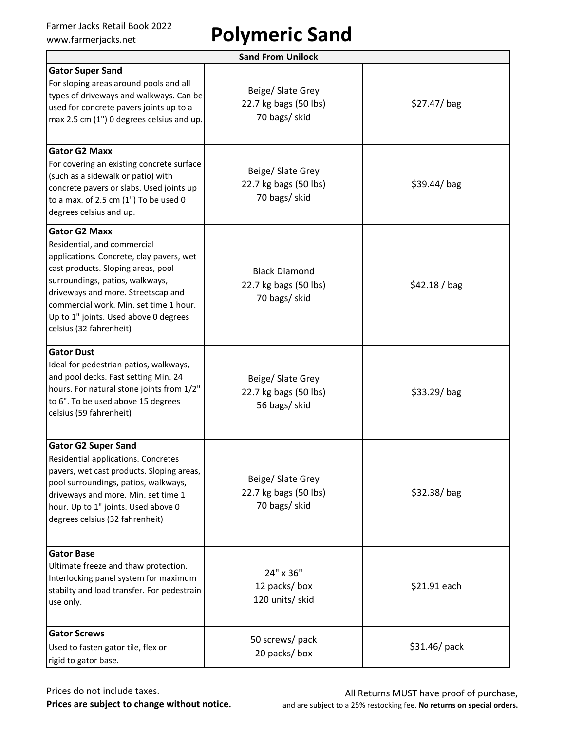# Farmer Jacks Retail Book 2022<br>www.farmerjacks.net **Polymeric Sand**

| <b>Sand From Unilock</b>                                                                                                                                                                                                                                                                                                     |                                                                |               |  |  |
|------------------------------------------------------------------------------------------------------------------------------------------------------------------------------------------------------------------------------------------------------------------------------------------------------------------------------|----------------------------------------------------------------|---------------|--|--|
| <b>Gator Super Sand</b><br>For sloping areas around pools and all<br>types of driveways and walkways. Can be<br>used for concrete pavers joints up to a<br>max 2.5 cm (1") 0 degrees celsius and up.                                                                                                                         | Beige/ Slate Grey<br>22.7 kg bags (50 lbs)<br>70 bags/ skid    | $$27.47/$ bag |  |  |
| <b>Gator G2 Maxx</b><br>For covering an existing concrete surface<br>(such as a sidewalk or patio) with<br>concrete pavers or slabs. Used joints up<br>to a max. of 2.5 cm (1") To be used 0<br>degrees celsius and up.                                                                                                      | Beige/ Slate Grey<br>22.7 kg bags (50 lbs)<br>70 bags/ skid    | $$39.44/$ bag |  |  |
| <b>Gator G2 Maxx</b><br>Residential, and commercial<br>applications. Concrete, clay pavers, wet<br>cast products. Sloping areas, pool<br>surroundings, patios, walkways,<br>driveways and more. Streetscap and<br>commercial work. Min. set time 1 hour.<br>Up to 1" joints. Used above 0 degrees<br>celsius (32 fahrenheit) | <b>Black Diamond</b><br>22.7 kg bags (50 lbs)<br>70 bags/ skid | \$42.18 / bag |  |  |
| <b>Gator Dust</b><br>Ideal for pedestrian patios, walkways,<br>and pool decks. Fast setting Min. 24<br>hours. For natural stone joints from 1/2"<br>to 6". To be used above 15 degrees<br>celsius (59 fahrenheit)                                                                                                            | Beige/ Slate Grey<br>22.7 kg bags (50 lbs)<br>56 bags/ skid    | $$33.29/$ bag |  |  |
| <b>Gator G2 Super Sand</b><br><b>Residential applications. Concretes</b><br>pavers, wet cast products. Sloping areas,<br>pool surroundings, patios, walkways,<br>driveways and more. Min. set time 1<br>hour. Up to 1" joints. Used above 0<br>degrees celsius (32 fahrenheit)                                               | Beige/ Slate Grey<br>22.7 kg bags (50 lbs)<br>70 bags/ skid    | $$32.38/$ bag |  |  |
| <b>Gator Base</b><br>Ultimate freeze and thaw protection.<br>Interlocking panel system for maximum<br>stabilty and load transfer. For pedestrain<br>use only.                                                                                                                                                                | 24" x 36"<br>12 packs/box<br>120 units/ skid                   | \$21.91 each  |  |  |
| <b>Gator Screws</b><br>Used to fasten gator tile, flex or<br>rigid to gator base.                                                                                                                                                                                                                                            | 50 screws/ pack<br>20 packs/ box                               | \$31.46/pack  |  |  |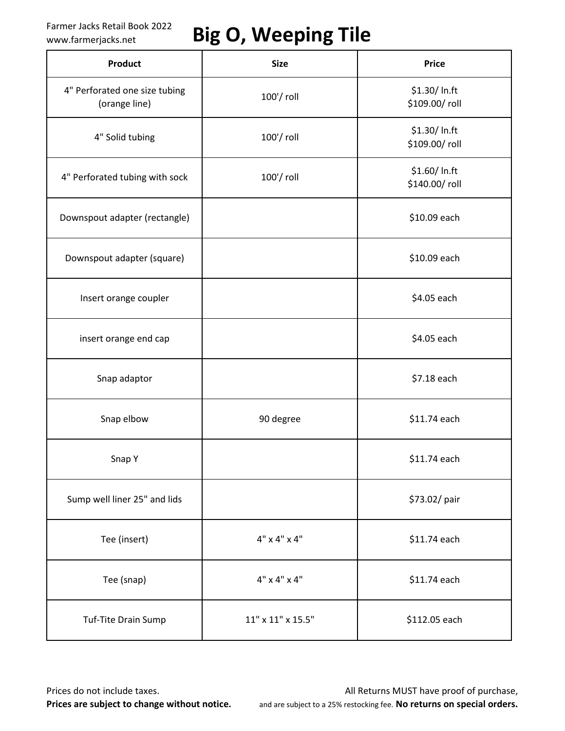## Farmer Jacks Retail Book 2022 **Big O, Weeping Tile**

| Product                                        | <b>Size</b>              | <b>Price</b>                   |
|------------------------------------------------|--------------------------|--------------------------------|
| 4" Perforated one size tubing<br>(orange line) | 100'/ roll               | \$1.30/ In.ft<br>\$109.00/roll |
| 4" Solid tubing                                | 100'/ roll               | \$1.30/ In.ft<br>\$109.00/roll |
| 4" Perforated tubing with sock                 | 100'/ roll               | \$1.60/ In.ft<br>\$140.00/roll |
| Downspout adapter (rectangle)                  |                          | \$10.09 each                   |
| Downspout adapter (square)                     |                          | \$10.09 each                   |
| Insert orange coupler                          |                          | \$4.05 each                    |
| insert orange end cap                          |                          | \$4.05 each                    |
| Snap adaptor                                   |                          | \$7.18 each                    |
| Snap elbow                                     | 90 degree                | \$11.74 each                   |
| Snap Y                                         |                          | \$11.74 each                   |
| Sump well liner 25" and lids                   |                          | \$73.02/ pair                  |
| Tee (insert)                                   | $4" \times 4" \times 4"$ | \$11.74 each                   |
| Tee (snap)                                     | $4" \times 4" \times 4"$ | \$11.74 each                   |
| Tuf-Tite Drain Sump                            | $11"$ x $11"$ x $15.5"$  | \$112.05 each                  |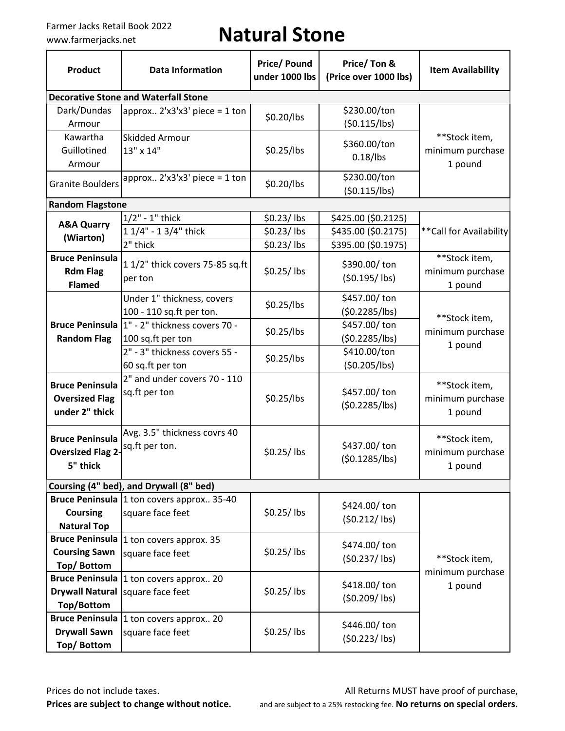## Farmer Jacks Retail Book 2022<br>www.farmerjacks.net **Natural Stone**

| <b>Product</b>                                                    | <b>Data Information</b>                                                       | <b>Price/Pound</b><br>Price/Ton &<br>under 1000 lbs<br>(Price over 1000 lbs) |                                 | <b>Item Availability</b>                     |  |
|-------------------------------------------------------------------|-------------------------------------------------------------------------------|------------------------------------------------------------------------------|---------------------------------|----------------------------------------------|--|
|                                                                   | <b>Decorative Stone and Waterfall Stone</b>                                   |                                                                              |                                 |                                              |  |
| Dark/Dundas<br>Armour                                             | approx $2'x3'x3'$ piece = 1 ton                                               | \$0.20/lbs                                                                   | \$230.00/ton<br>(50.115/lbs)    |                                              |  |
| Kawartha<br>Guillotined<br>Armour                                 | <b>Skidded Armour</b><br>13" x 14"                                            | \$0.25/lbs                                                                   | \$360.00/ton<br>$0.18/$ lbs     | **Stock item,<br>minimum purchase<br>1 pound |  |
| <b>Granite Boulders</b>                                           | approx $2'x3'x3'$ piece = 1 ton                                               | \$0.20/lbs                                                                   | \$230.00/ton<br>(50.115/lbs)    |                                              |  |
| <b>Random Flagstone</b>                                           |                                                                               |                                                                              |                                 |                                              |  |
| <b>A&amp;A Quarry</b>                                             | $1/2" - 1"$ thick                                                             | $$0.23/$ lbs                                                                 | \$425.00 (\$0.2125)             |                                              |  |
| (Wiarton)                                                         | 1 1/4" - 1 3/4" thick                                                         | \$0.23/lbs                                                                   | \$435.00 (\$0.2175)             | ** Call for Availability                     |  |
|                                                                   | 2" thick                                                                      | $$0.23/$ lbs                                                                 | \$395.00 (\$0.1975)             |                                              |  |
| <b>Bruce Peninsula</b><br><b>Rdm Flag</b><br><b>Flamed</b>        | 1 1/2" thick covers 75-85 sq.ft<br>per ton                                    | \$0.25/lbs                                                                   | \$390.00/ton<br>$(50.195/$ lbs) | **Stock item,<br>minimum purchase<br>1 pound |  |
|                                                                   | Under 1" thickness, covers<br>100 - 110 sq.ft per ton.                        | \$0.25/lbs                                                                   | \$457.00/ton<br>(50.2285/lbs)   | **Stock item,                                |  |
| <b>Bruce Peninsula</b><br><b>Random Flag</b>                      | 1" - 2" thickness covers 70 -<br>100 sq.ft per ton                            | \$0.25/lbs                                                                   | \$457.00/ton<br>(\$0.2285/lbs)  | minimum purchase<br>1 pound                  |  |
|                                                                   | 2" - 3" thickness covers 55 -<br>60 sq.ft per ton                             | \$410.00/ton<br>\$0.25/lbs<br>(50.205/lbs)                                   |                                 |                                              |  |
| <b>Bruce Peninsula</b><br><b>Oversized Flag</b><br>under 2" thick | 2" and under covers 70 - 110<br>sq.ft per ton                                 | \$457.00/ton<br>\$0.25/lbs<br>(\$0.2285/lbs)                                 |                                 | **Stock item,<br>minimum purchase<br>1 pound |  |
| <b>Bruce Peninsula</b><br><b>Oversized Flag 2-</b><br>5" thick    | Avg. 3.5" thickness covrs 40<br>sq.ft per ton.                                | \$0.25/lbs                                                                   | \$437.00/ton<br>(50.1285/lbs)   | **Stock item,<br>minimum purchase<br>1 pound |  |
|                                                                   | Coursing (4" bed), and Drywall (8" bed)                                       |                                                                              |                                 |                                              |  |
| <b>Coursing</b><br><b>Natural Top</b>                             | Bruce Peninsula  1 ton covers approx 35-40<br>square face feet                | \$0.25/lbs                                                                   | \$424.00/ton<br>$(50.212/$ lbs) |                                              |  |
| <b>Bruce Peninsula</b><br><b>Coursing Sawn</b><br>Top/Bottom      | 1 ton covers approx. 35<br>square face feet                                   | \$0.25/lbs                                                                   | \$474.00/ton<br>$(50.237/$ lbs) | **Stock item,<br>minimum purchase            |  |
| Top/Bottom                                                        | Bruce Peninsula  1 ton covers approx 20<br>Drywall Natural   square face feet | \$0.25/lbs                                                                   | \$418.00/ton<br>$(50.209/$ lbs) | 1 pound                                      |  |
| <b>Drywall Sawn</b><br>Top/Bottom                                 | Bruce Peninsula 1 ton covers approx 20<br>square face feet                    | $$0.25/$ lbs                                                                 | \$446.00/ton<br>$(50.223/$ lbs) |                                              |  |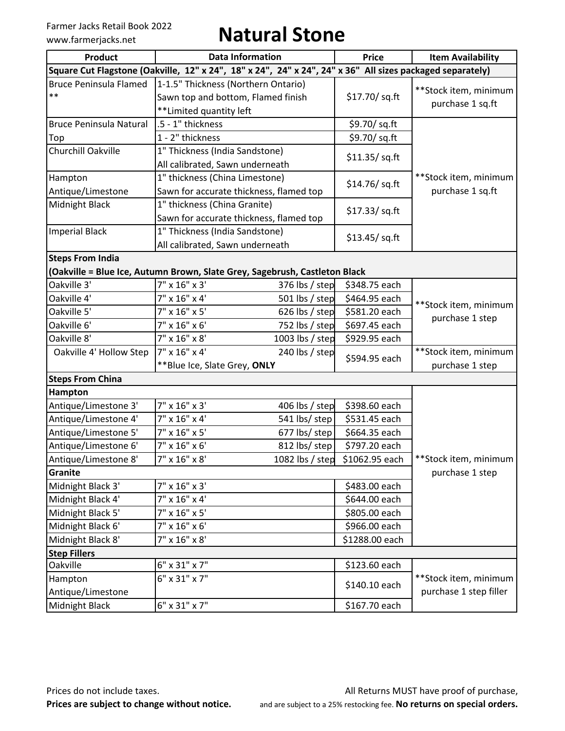## Farmer Jacks Retail Book 2022<br>www.farmerjacks.net **Natural Stone**

| <b>Product</b>                                                                                            |                                                                                                      | <b>Data Information</b><br><b>Price</b> |                 | <b>Item Availability</b>                        |
|-----------------------------------------------------------------------------------------------------------|------------------------------------------------------------------------------------------------------|-----------------------------------------|-----------------|-------------------------------------------------|
| Square Cut Flagstone (Oakville, 12" x 24", 18" x 24", 24" x 24", 24" x 36" All sizes packaged separately) |                                                                                                      |                                         |                 |                                                 |
| <b>Bruce Peninsula Flamed</b><br>$\ast\ast$                                                               | 1-1.5" Thickness (Northern Ontario)<br>Sawn top and bottom, Flamed finish<br>**Limited quantity left |                                         | \$17.70/ sq.ft  | **Stock item, minimum<br>purchase 1 sq.ft       |
| <b>Bruce Peninsula Natural</b>                                                                            | .5 - 1" thickness                                                                                    |                                         | \$9.70/ sq.ft   |                                                 |
| Top                                                                                                       | 1 - 2" thickness                                                                                     |                                         | \$9.70/ sq.ft   |                                                 |
| Churchill Oakville                                                                                        | 1" Thickness (India Sandstone)<br>All calibrated, Sawn underneath                                    |                                         | \$11.35/ sq. ft |                                                 |
| Hampton<br>Antique/Limestone                                                                              | 1" thickness (China Limestone)<br>Sawn for accurate thickness, flamed top                            |                                         | \$14.76/sq.ft   | **Stock item, minimum<br>purchase 1 sq.ft       |
| Midnight Black                                                                                            | 1" thickness (China Granite)<br>Sawn for accurate thickness, flamed top                              |                                         | \$17.33/ sq. ft |                                                 |
| <b>Imperial Black</b>                                                                                     | 1" Thickness (India Sandstone)<br>All calibrated, Sawn underneath                                    |                                         | \$13.45/sq.ft   |                                                 |
| <b>Steps From India</b><br>(Oakville = Blue Ice, Autumn Brown, Slate Grey, Sagebrush, Castleton Black     |                                                                                                      |                                         |                 |                                                 |
| Oakville 3'                                                                                               | 7" x 16" x 3'                                                                                        | 376 lbs / step                          | \$348.75 each   |                                                 |
| Oakville 4'                                                                                               | 7" x 16" x 4'                                                                                        | 501 lbs / step                          | \$464.95 each   | **Stock item, minimum                           |
| Oakville 5'                                                                                               | $7" \times 16" \times 5'$                                                                            | 626 lbs / step                          | \$581.20 each   |                                                 |
| Oakville 6'                                                                                               | $7'' \times 16'' \times 6'$                                                                          | 752 lbs / step                          | \$697.45 each   | purchase 1 step                                 |
| Oakville 8'                                                                                               | 7" x 16" x 8'                                                                                        | 1003 lbs / step                         | \$929.95 each   |                                                 |
| Oakville 4' Hollow Step                                                                                   | 7" x 16" x 4'<br>**Blue Ice, Slate Grey, ONLY                                                        | 240 lbs / step                          | \$594.95 each   | **Stock item, minimum<br>purchase 1 step        |
| <b>Steps From China</b>                                                                                   |                                                                                                      |                                         |                 |                                                 |
| Hampton                                                                                                   |                                                                                                      |                                         |                 |                                                 |
| Antique/Limestone 3'                                                                                      | $7''$ x $16''$ x $3'$                                                                                | 406 lbs / step                          | \$398.60 each   |                                                 |
| Antique/Limestone 4'                                                                                      | $7" \times 16" \times 4'$                                                                            | 541 lbs/ step                           | \$531.45 each   |                                                 |
| Antique/Limestone 5'                                                                                      | $7''$ x $16''$ x $5'$                                                                                | 677 lbs/ step                           | \$664.35 each   |                                                 |
| Antique/Limestone 6'                                                                                      | 7" x 16" x 6'                                                                                        | 812 lbs/ step                           | \$797.20 each   |                                                 |
| Antique/Limestone 8'                                                                                      | 7" x 16" x 8'                                                                                        | 1082 lbs / step                         | \$1062.95 each  | **Stock item, minimum                           |
| Granite                                                                                                   |                                                                                                      |                                         |                 | purchase 1 step                                 |
| Midnight Black 3'                                                                                         | 7" x 16" x 3'                                                                                        |                                         | \$483.00 each   |                                                 |
| Midnight Black 4'                                                                                         | $7''$ x $16''$ x 4'                                                                                  |                                         | \$644.00 each   |                                                 |
| Midnight Black 5'                                                                                         | $7'' \times 16'' \times 5'$                                                                          |                                         | \$805.00 each   |                                                 |
| Midnight Black 6'                                                                                         | 7" x 16" x 6'                                                                                        |                                         | \$966.00 each   |                                                 |
| Midnight Black 8'                                                                                         | $7'' \times 16'' \times 8'$                                                                          |                                         | \$1288.00 each  |                                                 |
| <b>Step Fillers</b>                                                                                       |                                                                                                      |                                         |                 |                                                 |
| Oakville                                                                                                  | 6" x 31" x 7"                                                                                        |                                         | \$123.60 each   |                                                 |
| Hampton<br>Antique/Limestone                                                                              | 6" x 31" x 7"                                                                                        |                                         | \$140.10 each   | **Stock item, minimum<br>purchase 1 step filler |
| Midnight Black                                                                                            | 6" x 31" x 7"                                                                                        |                                         | \$167.70 each   |                                                 |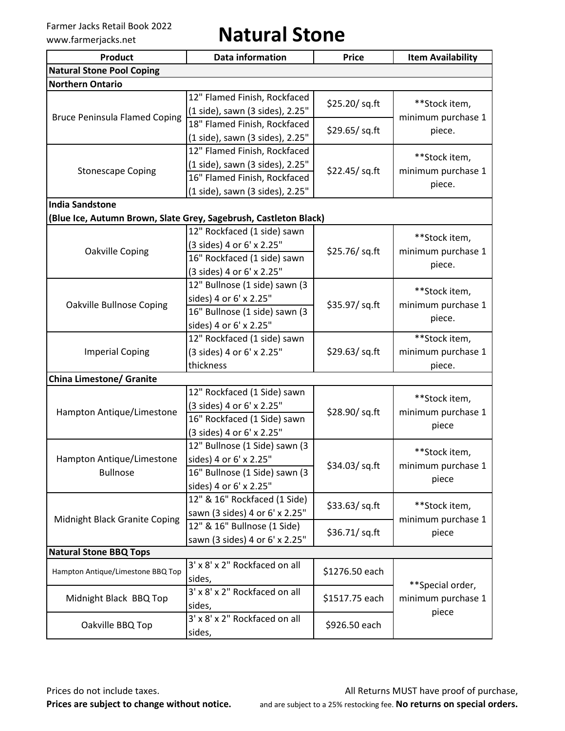Farmer Jacks Retail Book 2022<br>www.farmerjacks.net **Natural Stone** 

| <b>Product</b><br><b>Data information</b>                        |                                 | <b>Price</b>    | <b>Item Availability</b> |  |
|------------------------------------------------------------------|---------------------------------|-----------------|--------------------------|--|
| <b>Natural Stone Pool Coping</b>                                 |                                 |                 |                          |  |
| <b>Northern Ontario</b>                                          |                                 |                 |                          |  |
|                                                                  | 12" Flamed Finish, Rockfaced    | \$25.20/ sq.ft  | **Stock item,            |  |
| <b>Bruce Peninsula Flamed Coping</b>                             | (1 side), sawn (3 sides), 2.25" |                 | minimum purchase 1       |  |
|                                                                  | 18" Flamed Finish, Rockfaced    | \$29.65/sq.ft   |                          |  |
|                                                                  | (1 side), sawn (3 sides), 2.25" |                 | piece.                   |  |
|                                                                  | 12" Flamed Finish, Rockfaced    |                 | **Stock item,            |  |
| <b>Stonescape Coping</b>                                         | (1 side), sawn (3 sides), 2.25" | \$22.45/ sq. ft | minimum purchase 1       |  |
|                                                                  | 16" Flamed Finish, Rockfaced    |                 | piece.                   |  |
|                                                                  | (1 side), sawn (3 sides), 2.25" |                 |                          |  |
| <b>India Sandstone</b>                                           |                                 |                 |                          |  |
| (Blue Ice, Autumn Brown, Slate Grey, Sagebrush, Castleton Black) |                                 |                 |                          |  |
|                                                                  | 12" Rockfaced (1 side) sawn     |                 | **Stock item,            |  |
| Oakville Coping                                                  | (3 sides) 4 or 6' x 2.25"       | \$25.76/sq.ft   | minimum purchase 1       |  |
|                                                                  | 16" Rockfaced (1 side) sawn     |                 | piece.                   |  |
|                                                                  | (3 sides) 4 or 6' x 2.25"       |                 |                          |  |
|                                                                  | 12" Bullnose (1 side) sawn (3   |                 | **Stock item,            |  |
| <b>Oakville Bullnose Coping</b>                                  | sides) 4 or 6' x 2.25"          | \$35.97/ sq.ft  | minimum purchase 1       |  |
|                                                                  | 16" Bullnose (1 side) sawn (3   |                 | piece.                   |  |
|                                                                  | sides) 4 or 6' x 2.25"          |                 |                          |  |
|                                                                  | 12" Rockfaced (1 side) sawn     |                 | **Stock item,            |  |
| <b>Imperial Coping</b>                                           | (3 sides) 4 or 6' x 2.25"       | \$29.63/ sq. ft | minimum purchase 1       |  |
|                                                                  | thickness                       |                 | piece.                   |  |
| <b>China Limestone/ Granite</b>                                  |                                 |                 |                          |  |
|                                                                  | 12" Rockfaced (1 Side) sawn     |                 | **Stock item,            |  |
| Hampton Antique/Limestone                                        | (3 sides) 4 or 6' x 2.25"       | \$28.90/sq.ft   | minimum purchase 1       |  |
|                                                                  | 16" Rockfaced (1 Side) sawn     |                 | piece                    |  |
|                                                                  | (3 sides) 4 or 6' x 2.25"       |                 |                          |  |
|                                                                  | 12" Bullnose (1 Side) sawn (3   |                 | **Stock item,            |  |
| Hampton Antique/Limestone                                        | sides) 4 or 6' x 2.25"          | \$34.03/sq.ft   | minimum purchase 1       |  |
| <b>Bullnose</b>                                                  | 16" Bullnose (1 Side) sawn (3   |                 | piece                    |  |
|                                                                  | sides) 4 or 6' x 2.25"          |                 |                          |  |
|                                                                  | 12" & 16" Rockfaced (1 Side)    | \$33.63/sq.ft   | **Stock item,            |  |
| Midnight Black Granite Coping                                    | sawn (3 sides) 4 or 6' x 2.25"  |                 | minimum purchase 1       |  |
|                                                                  | 12" & 16" Bullnose (1 Side)     | \$36.71/sq.ft   | piece                    |  |
|                                                                  | sawn (3 sides) 4 or 6' x 2.25"  |                 |                          |  |
| <b>Natural Stone BBQ Tops</b>                                    |                                 |                 |                          |  |
| Hampton Antique/Limestone BBQ Top                                | 3' x 8' x 2" Rockfaced on all   | \$1276.50 each  |                          |  |
|                                                                  | sides,                          |                 | **Special order,         |  |
| Midnight Black BBQ Top                                           | 3' x 8' x 2" Rockfaced on all   | \$1517.75 each  | minimum purchase 1       |  |
|                                                                  | sides,                          |                 | piece                    |  |
| Oakville BBQ Top                                                 | 3' x 8' x 2" Rockfaced on all   | \$926.50 each   |                          |  |
|                                                                  | sides,                          |                 |                          |  |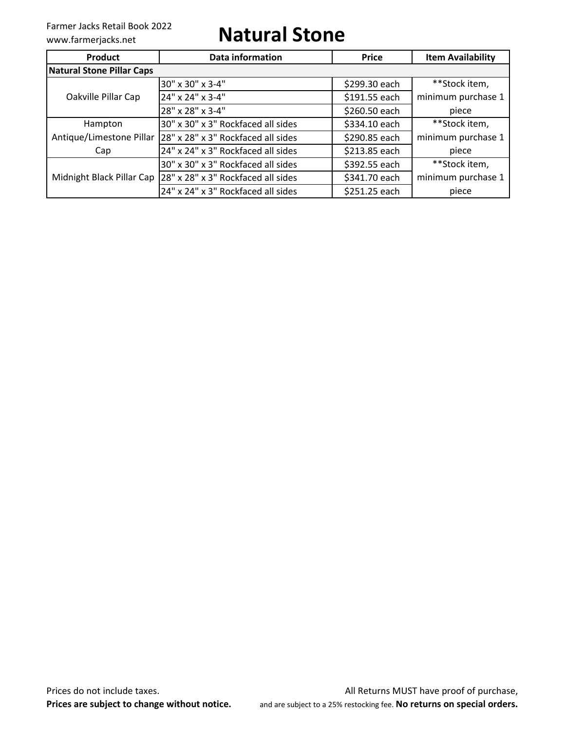## Farmer Jacks Retail Book 2022<br>www.farmerjacks.net **Natural Stone**

| Product                          | Data information                   | <b>Price</b>  | <b>Item Availability</b> |
|----------------------------------|------------------------------------|---------------|--------------------------|
| <b>Natural Stone Pillar Caps</b> |                                    |               |                          |
|                                  | 30" x 30" x 3-4"                   | \$299.30 each | **Stock item,            |
| Oakville Pillar Cap              | 24" x 24" x 3-4"                   | \$191.55 each | minimum purchase 1       |
|                                  | 28" x 28" x 3-4"                   | \$260.50 each | piece                    |
| Hampton                          | 30" x 30" x 3" Rockfaced all sides | \$334.10 each | **Stock item,            |
| Antique/Limestone Pillar         | 28" x 28" x 3" Rockfaced all sides | \$290.85 each | minimum purchase 1       |
| Cap                              | 24" x 24" x 3" Rockfaced all sides | \$213.85 each | piece                    |
|                                  | 30" x 30" x 3" Rockfaced all sides | \$392.55 each | **Stock item,            |
| Midnight Black Pillar Cap        | 28" x 28" x 3" Rockfaced all sides | \$341.70 each | minimum purchase 1       |
|                                  | 24" x 24" x 3" Rockfaced all sides | \$251.25 each | piece                    |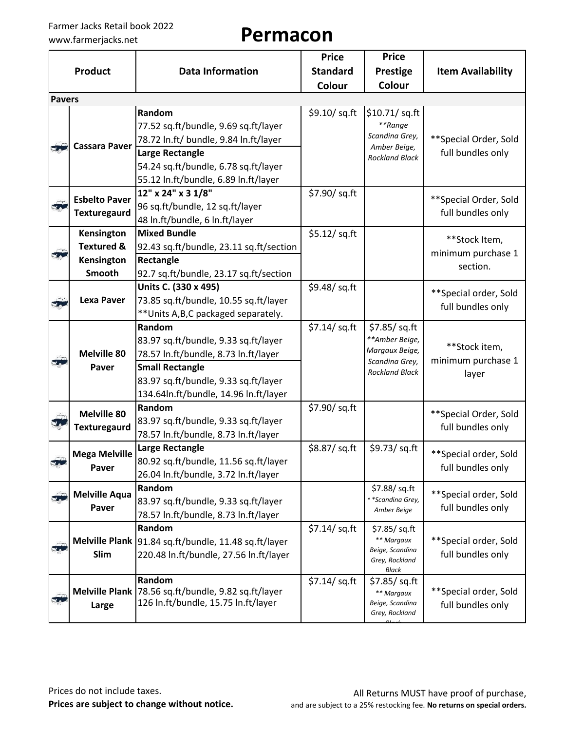|                           |                       |                                                        | <b>Price</b>    | <b>Price</b>                            |                          |  |
|---------------------------|-----------------------|--------------------------------------------------------|-----------------|-----------------------------------------|--------------------------|--|
|                           | <b>Product</b>        | <b>Data Information</b>                                | <b>Standard</b> | <b>Prestige</b>                         | <b>Item Availability</b> |  |
|                           |                       |                                                        | Colour          | Colour                                  |                          |  |
| <b>Pavers</b>             |                       |                                                        |                 |                                         |                          |  |
|                           |                       | Random                                                 | \$9.10/ sq.ft   | \$10.71/sq.ft                           |                          |  |
| 57                        |                       | 77.52 sq.ft/bundle, 9.69 sq.ft/layer                   |                 | **Range                                 |                          |  |
|                           |                       | 78.72 In.ft/ bundle, 9.84 In.ft/layer                  |                 | Scandina Grey,                          | **Special Order, Sold    |  |
|                           | <b>Cassara Paver</b>  | <b>Large Rectangle</b>                                 |                 | Amber Beige,<br><b>Rockland Black</b>   | full bundles only        |  |
|                           |                       | 54.24 sq.ft/bundle, 6.78 sq.ft/layer                   |                 |                                         |                          |  |
|                           |                       | 55.12 In.ft/bundle, 6.89 In.ft/layer                   |                 |                                         |                          |  |
|                           |                       | 12" x 24" x 3 1/8"                                     | \$7.90/sq.ft    |                                         |                          |  |
| F                         | <b>Esbelto Paver</b>  | 96 sq.ft/bundle, 12 sq.ft/layer                        |                 |                                         | **Special Order, Sold    |  |
|                           | <b>Texturegaurd</b>   | 48 In.ft/bundle, 6 In.ft/layer                         |                 |                                         | full bundles only        |  |
|                           | Kensington            | <b>Mixed Bundle</b>                                    | \$5.12/ sq.ft   |                                         |                          |  |
|                           | <b>Textured &amp;</b> | 92.43 sq.ft/bundle, 23.11 sq.ft/section                |                 |                                         | **Stock Item,            |  |
| F                         | Kensington            | Rectangle                                              |                 |                                         | minimum purchase 1       |  |
|                           | Smooth                | 92.7 sq.ft/bundle, 23.17 sq.ft/section                 |                 |                                         | section.                 |  |
|                           |                       | Units C. (330 x 495)                                   | \$9.48/sq.ft    |                                         |                          |  |
| 57                        | <b>Lexa Paver</b>     | 73.85 sq.ft/bundle, 10.55 sq.ft/layer                  |                 |                                         | ** Special order, Sold   |  |
|                           |                       | ** Units A, B, C packaged separately.                  |                 |                                         | full bundles only        |  |
|                           | <b>Melville 80</b>    | Random                                                 | $$7.14$ / sq.ft | \$7.85/sq.ft                            |                          |  |
|                           |                       | 83.97 sq.ft/bundle, 9.33 sq.ft/layer                   |                 | **Amber Beige,                          |                          |  |
|                           |                       | 78.57 In.ft/bundle, 8.73 In.ft/layer                   |                 | Margaux Beige,                          | **Stock item,            |  |
| $\mathbf{v}_{\mathbf{A}}$ | Paver                 | <b>Small Rectangle</b>                                 |                 | Scandina Grey,<br><b>Rockland Black</b> | minimum purchase 1       |  |
|                           |                       | 83.97 sq.ft/bundle, 9.33 sq.ft/layer                   |                 |                                         | layer                    |  |
|                           |                       | 134.64In.ft/bundle, 14.96 In.ft/layer                  |                 |                                         |                          |  |
|                           |                       | Random                                                 | \$7.90/ sq.ft   |                                         |                          |  |
| T<br>¥a.                  | <b>Melville 80</b>    | 83.97 sq.ft/bundle, 9.33 sq.ft/layer                   |                 |                                         | ** Special Order, Sold   |  |
|                           | <b>Texturegaurd</b>   | 78.57 In.ft/bundle, 8.73 In.ft/layer                   |                 |                                         | full bundles only        |  |
|                           |                       | <b>Large Rectangle</b>                                 | \$8.87/sq.ft    | \$9.73/sq.ft                            |                          |  |
| $\subset \mathbb{D}$      | <b>Mega Melville</b>  | 80.92 sq.ft/bundle, 11.56 sq.ft/layer                  |                 |                                         | **Special order, Sold    |  |
|                           | Paver                 | 26.04 In.ft/bundle, 3.72 In.ft/layer                   |                 |                                         | full bundles only        |  |
|                           |                       | Random                                                 |                 | \$7.88/sq.ft                            |                          |  |
| 50                        | <b>Melville Aqua</b>  | 83.97 sq.ft/bundle, 9.33 sq.ft/layer                   |                 | * *Scandina Grey,                       | **Special order, Sold    |  |
|                           | Paver                 | 78.57 In.ft/bundle, 8.73 In.ft/layer                   |                 | Amber Beige                             | full bundles only        |  |
|                           |                       | Random                                                 | $$7.14$ /sq.ft  | \$7.85/sq.ft                            |                          |  |
| F                         |                       | Melville Plank   91.84 sq.ft/bundle, 11.48 sq.ft/layer |                 | ** Margaux                              | **Special order, Sold    |  |
|                           | Slim                  | 220.48 In.ft/bundle, 27.56 In.ft/layer                 |                 | Beige, Scandina<br>Grey, Rockland       | full bundles only        |  |
|                           |                       |                                                        |                 | Black                                   |                          |  |
|                           |                       | Random                                                 | \$7.14/ sq.ft   | \$7.85/ sq. ft                          |                          |  |
| 50                        |                       | Melville Plank 78.56 sq.ft/bundle, 9.82 sq.ft/layer    |                 | ** Margaux                              | **Special order, Sold    |  |
|                           | Large                 | 126 In.ft/bundle, 15.75 In.ft/layer                    |                 | Beige, Scandina<br>Grey, Rockland       | full bundles only        |  |
|                           |                       |                                                        |                 |                                         |                          |  |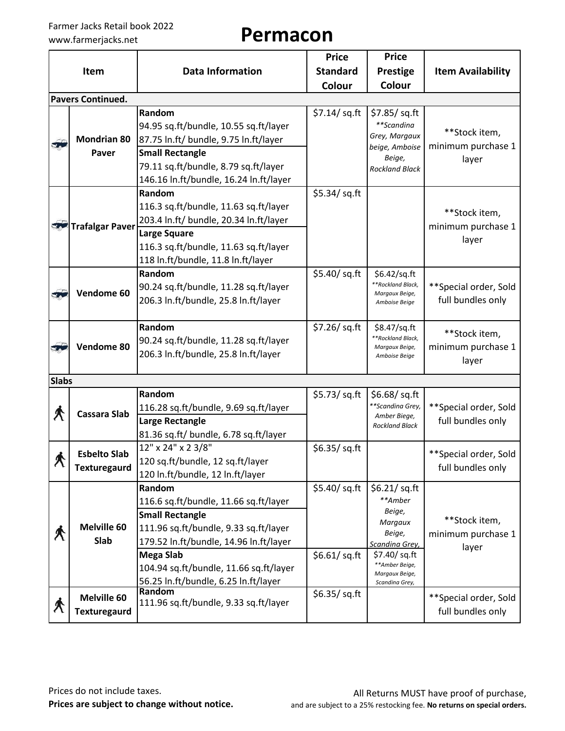## Farmer Jacks Retail book 2022<br>www.farmerjacks.net **Permacon**

|                            |                          |                                        | <b>Price</b>    | <b>Price</b>                        |                          |  |
|----------------------------|--------------------------|----------------------------------------|-----------------|-------------------------------------|--------------------------|--|
|                            | Item                     | <b>Data Information</b>                | <b>Standard</b> | <b>Prestige</b>                     | <b>Item Availability</b> |  |
|                            |                          |                                        | Colour          | Colour                              |                          |  |
|                            | <b>Pavers Continued.</b> |                                        |                 |                                     |                          |  |
|                            |                          | Random                                 | \$7.14/ sq.ft   | \$7.85/ sq. ft                      |                          |  |
|                            |                          | 94.95 sq.ft/bundle, 10.55 sq.ft/layer  |                 | **Scandina                          | **Stock item,            |  |
| 5                          | <b>Mondrian 80</b>       | 87.75 ln.ft/ bundle, 9.75 ln.ft/layer  |                 | Grey, Margaux<br>beige, Amboise     | minimum purchase 1       |  |
|                            | Paver                    | <b>Small Rectangle</b>                 |                 | Beige,                              | layer                    |  |
|                            |                          | 79.11 sq.ft/bundle, 8.79 sq.ft/layer   |                 | <b>Rockland Black</b>               |                          |  |
|                            |                          | 146.16 In.ft/bundle, 16.24 In.ft/layer |                 |                                     |                          |  |
|                            |                          | Random                                 | \$5.34/ sq.ft   |                                     |                          |  |
|                            |                          | 116.3 sq.ft/bundle, 11.63 sq.ft/layer  |                 |                                     | **Stock item,            |  |
|                            | Trafalgar Paver          | 203.4 In.ft/ bundle, 20.34 In.ft/layer |                 |                                     | minimum purchase 1       |  |
|                            |                          | Large Square                           |                 |                                     | layer                    |  |
|                            |                          | 116.3 sq.ft/bundle, 11.63 sq.ft/layer  |                 |                                     |                          |  |
|                            |                          | 118 In.ft/bundle, 11.8 In.ft/layer     |                 |                                     |                          |  |
|                            |                          | Random                                 | \$5.40/ sq.ft   | \$6.42/sq.ft                        |                          |  |
| 37                         | Vendome 60               | 90.24 sq.ft/bundle, 11.28 sq.ft/layer  |                 | **Rockland Black,<br>Margaux Beige, | ** Special order, Sold   |  |
|                            |                          | 206.3 In.ft/bundle, 25.8 In.ft/layer   |                 | Amboise Beige                       | full bundles only        |  |
|                            |                          |                                        |                 |                                     |                          |  |
|                            |                          | Random                                 | \$7.26/ sq.ft   | \$8.47/sq.ft<br>**Rockland Black,   | **Stock item,            |  |
| 37                         | Vendome 80               | 90.24 sq.ft/bundle, 11.28 sq.ft/layer  |                 | Margaux Beige,                      | minimum purchase 1       |  |
|                            |                          | 206.3 In.ft/bundle, 25.8 In.ft/layer   |                 | Amboise Beige                       | layer                    |  |
| <b>Slabs</b>               |                          |                                        |                 |                                     |                          |  |
|                            |                          | Random                                 | \$5.73/ sq.ft   | \$6.68/ $sq.fit$                    |                          |  |
|                            |                          | 116.28 sq.ft/bundle, 9.69 sq.ft/layer  |                 | **Scandina Grey,                    | ** Special order, Sold   |  |
| $\bigwedge$                | Cassara Slab             | Large Rectangle                        |                 | Amber Biege,                        | full bundles only        |  |
|                            |                          | 81.36 sq.ft/ bundle, 6.78 sq.ft/layer  |                 | <b>Rockland Black</b>               |                          |  |
|                            |                          | 12" x 24" x 2 3/8"                     | \$6.35/ sq. ft  |                                     |                          |  |
| $\bigwedge$                | <b>Esbelto Slab</b>      | 120 sq.ft/bundle, 12 sq.ft/layer       |                 |                                     | **Special order, Sold    |  |
|                            | <b>Texturegaurd</b>      | 120 In.ft/bundle, 12 In.ft/layer       |                 |                                     | full bundles only        |  |
|                            |                          | Random                                 | \$5.40/ sq.ft   | \$6.21/ $sq.fit$                    |                          |  |
|                            |                          | 116.6 sq.ft/bundle, 11.66 sq.ft/layer  |                 | **Amber                             |                          |  |
|                            |                          | <b>Small Rectangle</b>                 |                 | Beige,                              | **Stock item,            |  |
|                            | <b>Melville 60</b>       | 111.96 sq.ft/bundle, 9.33 sq.ft/layer  |                 | Margaux<br>Beige,                   |                          |  |
| $\boldsymbol{\mathcal{R}}$ | Slab                     | 179.52 In.ft/bundle, 14.96 In.ft/layer |                 | Scandina Grey,                      | minimum purchase 1       |  |
|                            |                          | Mega Slab                              | \$6.61/ sq.ft   | \$7.40/sq.ft                        | layer                    |  |
|                            |                          | 104.94 sq.ft/bundle, 11.66 sq.ft/layer |                 | **Amber Beige,<br>Margaux Beige,    |                          |  |
|                            |                          | 56.25 ln.ft/bundle, 6.25 ln.ft/layer   |                 | Scandina Grey,                      |                          |  |
|                            | Melville 60              | Random                                 | \$6.35/sq.ft    |                                     | ** Special order, Sold   |  |
| $\bigstar$                 | <b>Texturegaurd</b>      | 111.96 sq.ft/bundle, 9.33 sq.ft/layer  |                 |                                     | full bundles only        |  |
|                            |                          |                                        |                 |                                     |                          |  |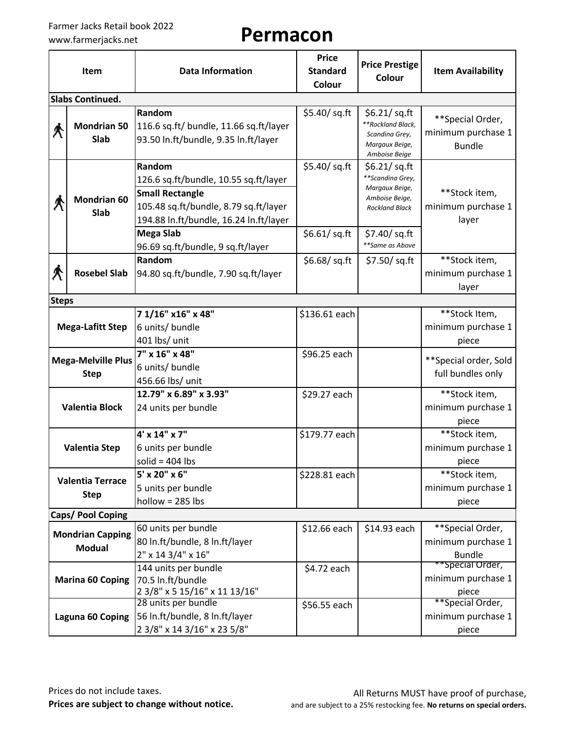| Item                                     |                                          | <b>Data Information</b>                                                                                                                                                          | <b>Price</b><br><b>Standard</b><br>Colour | <b>Price Prestige</b><br><b>Colour</b>                                                            | <b>Item Availability</b>                                |  |
|------------------------------------------|------------------------------------------|----------------------------------------------------------------------------------------------------------------------------------------------------------------------------------|-------------------------------------------|---------------------------------------------------------------------------------------------------|---------------------------------------------------------|--|
|                                          | <b>Slabs Continued.</b>                  |                                                                                                                                                                                  |                                           |                                                                                                   |                                                         |  |
| Â                                        | <b>Mondrian 50</b><br>Slab               | Random<br>116.6 sq.ft/ bundle, 11.66 sq.ft/layer<br>93.50 In.ft/bundle, 9.35 In.ft/layer                                                                                         | \$5.40/ sq.ft                             | \$6.21/ sq. ft<br>**Rockland Black,<br>Scandina Grey,<br>Margaux Beige,<br>Amboise Beige          | **Special Order,<br>minimum purchase 1<br><b>Bundle</b> |  |
|                                          | <b>Mondrian 60</b><br>Slab               | Random<br>126.6 sq.ft/bundle, 10.55 sq.ft/layer<br><b>Small Rectangle</b><br>105.48 sq.ft/bundle, 8.79 sq.ft/layer<br>194.88 In.ft/bundle, 16.24 In.ft/layer<br><b>Mega Slab</b> | \$5.40/ sq.ft                             | \$6.21/ $sq.fit$<br>**Scandina Grey,<br>Margaux Beige,<br>Amboise Beige,<br><b>Rockland Black</b> | **Stock item,<br>minimum purchase 1<br>layer            |  |
|                                          |                                          | 96.69 sq.ft/bundle, 9 sq.ft/layer                                                                                                                                                | \$6.61/ sq.ft                             | \$7.40/ sq.ft<br>**Same as Above                                                                  |                                                         |  |
| $\bigwedge$<br><b>Rosebel Slab</b>       |                                          | Random<br>\$6.68/sq.ft<br>94.80 sq.ft/bundle, 7.90 sq.ft/layer                                                                                                                   |                                           | \$7.50/ sq.ft                                                                                     | **Stock item,<br>minimum purchase 1<br>layer            |  |
| <b>Steps</b>                             |                                          |                                                                                                                                                                                  |                                           |                                                                                                   |                                                         |  |
|                                          | <b>Mega-Lafitt Step</b>                  | 7 1/16" x16" x 48"<br>6 units/ bundle<br>401 lbs/ unit                                                                                                                           | \$136.61 each                             |                                                                                                   | **Stock Item,<br>minimum purchase 1<br>piece            |  |
| <b>Mega-Melville Plus</b><br><b>Step</b> |                                          | 7" x 16" x 48"<br>6 units/ bundle<br>456.66 lbs/ unit                                                                                                                            | \$96.25 each                              |                                                                                                   | ** Special order, Sold<br>full bundles only             |  |
| <b>Valentia Block</b>                    |                                          | 12.79" x 6.89" x 3.93"<br>24 units per bundle                                                                                                                                    | \$29.27 each                              |                                                                                                   | **Stock item,<br>minimum purchase 1<br>piece            |  |
| <b>Valentia Step</b>                     |                                          | 4' x 14" x 7"<br>6 units per bundle<br>solid = $404$ lbs                                                                                                                         | \$179.77 each                             |                                                                                                   | **Stock item,<br>minimum purchase 1<br>piece            |  |
| <b>Valentia Terrace</b><br><b>Step</b>   |                                          | 5' x 20" x 6"<br>5 units per bundle<br>$hollow = 285$ lbs                                                                                                                        | \$228.81 each                             |                                                                                                   | **Stock item,<br>minimum purchase 1<br>piece            |  |
|                                          | Caps/ Pool Coping                        |                                                                                                                                                                                  |                                           |                                                                                                   |                                                         |  |
|                                          | <b>Mondrian Capping</b><br><b>Modual</b> | 60 units per bundle<br>80 In.ft/bundle, 8 In.ft/layer<br>2" x 14 3/4" x 16"                                                                                                      | \$12.66 each                              | \$14.93 each                                                                                      | **Special Order,<br>minimum purchase 1<br><b>Bundle</b> |  |
|                                          | <b>Marina 60 Coping</b>                  | 144 units per bundle<br>70.5 In.ft/bundle<br>2 3/8" x 5 15/16" x 11 13/16"                                                                                                       | \$4.72 each                               |                                                                                                   | **Special Order,<br>minimum purchase 1<br>piece         |  |
|                                          | Laguna 60 Coping                         | 28 units per bundle<br>56 In.ft/bundle, 8 In.ft/layer<br>2 3/8" x 14 3/16" x 23 5/8"                                                                                             | \$56.55 each                              |                                                                                                   | **Special Order,<br>minimum purchase 1<br>piece         |  |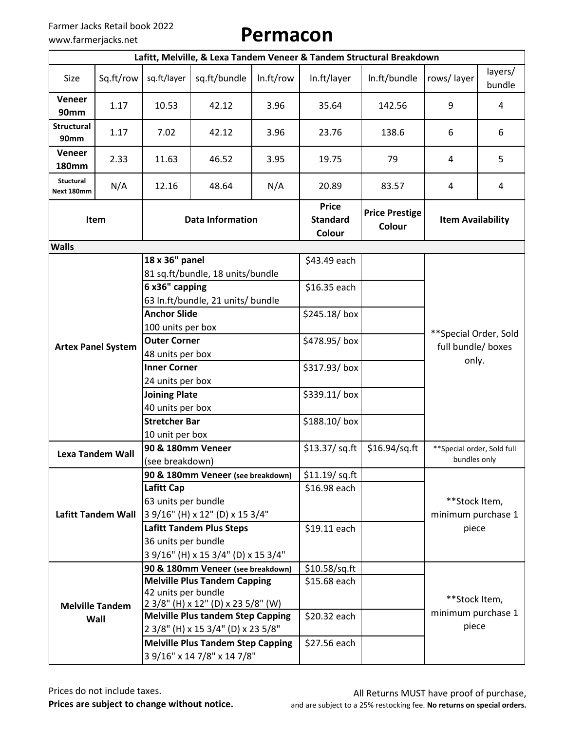|                               | Lafitt, Melville, & Lexa Tandem Veneer & Tandem Structural Breakdown |                                                        |                                          |                |                                           |                                 |                                             |                   |
|-------------------------------|----------------------------------------------------------------------|--------------------------------------------------------|------------------------------------------|----------------|-------------------------------------------|---------------------------------|---------------------------------------------|-------------------|
| Size                          | Sq.ft/row                                                            | sq.ft/layer                                            | sq.ft/bundle                             | In.ft/row      | In.ft/layer                               | In.ft/bundle                    | rows/layer                                  | layers/<br>bundle |
| Veneer<br>90mm                | 1.17                                                                 | 10.53                                                  | 42.12                                    | 3.96           | 35.64                                     | 142.56                          | 9                                           | 4                 |
| <b>Structural</b><br>90mm     | 1.17                                                                 | 7.02                                                   | 42.12                                    | 3.96           | 23.76                                     | 138.6                           | 6                                           | 6                 |
| <b>Veneer</b><br><b>180mm</b> | 2.33                                                                 | 11.63                                                  | 46.52                                    | 3.95           | 19.75                                     | 79                              | 4                                           | 5                 |
| Stuctural<br>Next 180mm       | N/A                                                                  | 12.16                                                  | 48.64                                    | N/A            | 20.89                                     | 83.57                           | 4                                           | 4                 |
|                               | Item                                                                 | <b>Data Information</b>                                |                                          |                | <b>Price</b><br><b>Standard</b><br>Colour | <b>Price Prestige</b><br>Colour | <b>Item Availability</b>                    |                   |
| <b>Walls</b>                  |                                                                      |                                                        |                                          |                |                                           |                                 |                                             |                   |
|                               |                                                                      | 18 x 36" panel                                         | 81 sq.ft/bundle, 18 units/bundle         |                | \$43.49 each                              |                                 |                                             |                   |
|                               |                                                                      | 6 x36" capping<br>63 In.ft/bundle, 21 units/ bundle    |                                          |                | \$16.35 each                              |                                 |                                             |                   |
|                               |                                                                      | <b>Anchor Slide</b><br>100 units per box               |                                          |                | \$245.18/box                              |                                 | **Special Order, Sold                       |                   |
|                               | <b>Artex Panel System</b>                                            | <b>Outer Corner</b><br>48 units per box                |                                          |                | \$478.95/box                              |                                 | full bundle/ boxes                          |                   |
|                               |                                                                      | <b>Inner Corner</b>                                    |                                          |                | \$317.93/box                              |                                 | only.                                       |                   |
|                               |                                                                      | 24 units per box                                       |                                          |                |                                           |                                 |                                             |                   |
|                               |                                                                      | <b>Joining Plate</b>                                   |                                          |                | \$339.11/box                              |                                 |                                             |                   |
|                               |                                                                      | 40 units per box                                       |                                          |                |                                           |                                 |                                             |                   |
|                               |                                                                      | <b>Stretcher Bar</b>                                   |                                          |                | \$188.10/box                              |                                 |                                             |                   |
|                               |                                                                      | 10 unit per box                                        |                                          |                |                                           |                                 |                                             |                   |
|                               | <b>Lexa Tandem Wall</b>                                              | 90 & 180mm Veneer                                      |                                          |                | \$13.37/sq.ft                             | $$16.94$ /sq.ft                 | ** Special order, Sold full<br>bundles only |                   |
|                               |                                                                      | (see breakdown)                                        |                                          | \$11.19/ sq.ft |                                           |                                 |                                             |                   |
|                               |                                                                      | 90 & 180mm Veneer (see breakdown)<br><b>Lafitt Cap</b> |                                          | \$16.98 each   |                                           |                                 |                                             |                   |
|                               |                                                                      | 63 units per bundle                                    |                                          |                |                                           |                                 | **Stock Item,                               |                   |
|                               | <b>Lafitt Tandem Wall</b>                                            |                                                        | 3 9/16" (H) x 12" (D) x 15 3/4"          |                |                                           |                                 | minimum purchase 1                          |                   |
|                               |                                                                      |                                                        | <b>Lafitt Tandem Plus Steps</b>          |                | \$19.11 each                              |                                 | piece                                       |                   |
|                               |                                                                      | 36 units per bundle                                    |                                          |                |                                           |                                 |                                             |                   |
|                               |                                                                      |                                                        | 3 9/16" (H) x 15 3/4" (D) x 15 3/4"      |                |                                           |                                 |                                             |                   |
|                               |                                                                      |                                                        | 90 & 180mm Veneer (see breakdown)        |                | $$10.58$ /sq.ft                           |                                 |                                             |                   |
|                               |                                                                      |                                                        | <b>Melville Plus Tandem Capping</b>      |                | \$15.68 each                              |                                 |                                             |                   |
|                               |                                                                      | 42 units per bundle                                    | 2 3/8" (H) x 12" (D) x 23 5/8" (W)       |                |                                           |                                 | **Stock Item,                               |                   |
|                               | <b>Melville Tandem</b>                                               |                                                        | <b>Melville Plus tandem Step Capping</b> |                | \$20.32 each                              |                                 | minimum purchase 1                          |                   |
|                               | Wall                                                                 |                                                        | 2 3/8" (H) x 15 3/4" (D) x 23 5/8"       |                |                                           |                                 | piece                                       |                   |
|                               |                                                                      |                                                        | <b>Melville Plus Tandem Step Capping</b> |                | \$27.56 each                              |                                 |                                             |                   |
|                               |                                                                      |                                                        | 3 9/16" x 14 7/8" x 14 7/8"              |                |                                           |                                 |                                             |                   |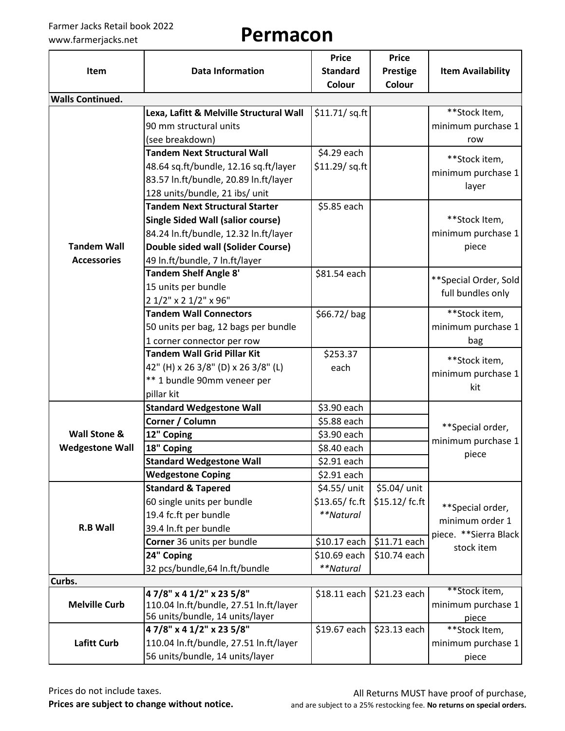|                         |                                          | <b>Price</b>    | <b>Price</b>    |                          |
|-------------------------|------------------------------------------|-----------------|-----------------|--------------------------|
| Item                    | <b>Data Information</b>                  | <b>Standard</b> | <b>Prestige</b> | <b>Item Availability</b> |
|                         |                                          | <b>Colour</b>   | Colour          |                          |
| <b>Walls Continued.</b> |                                          |                 |                 |                          |
|                         | Lexa, Lafitt & Melville Structural Wall  | \$11.71/ sq.ft  |                 | **Stock Item,            |
|                         | 90 mm structural units                   |                 |                 | minimum purchase 1       |
|                         | (see breakdown)                          |                 |                 | row                      |
|                         | <b>Tandem Next Structural Wall</b>       | \$4.29 each     |                 | **Stock item,            |
|                         | 48.64 sq.ft/bundle, 12.16 sq.ft/layer    | \$11.29/ sq.ft  |                 | minimum purchase 1       |
|                         | 83.57 In.ft/bundle, 20.89 In.ft/layer    |                 |                 | layer                    |
|                         | 128 units/bundle, 21 ibs/ unit           |                 |                 |                          |
|                         | <b>Tandem Next Structural Starter</b>    | \$5.85 each     |                 |                          |
|                         | <b>Single Sided Wall (salior course)</b> |                 |                 | **Stock Item,            |
|                         | 84.24 In.ft/bundle, 12.32 In.ft/layer    |                 |                 | minimum purchase 1       |
| <b>Tandem Wall</b>      | Double sided wall (Solider Course)       |                 |                 | piece                    |
| <b>Accessories</b>      | 49 In.ft/bundle, 7 In.ft/layer           |                 |                 |                          |
|                         | <b>Tandem Shelf Angle 8'</b>             | \$81.54 each    |                 | **Special Order, Sold    |
|                         | 15 units per bundle                      |                 |                 | full bundles only        |
|                         | 2 1/2" x 2 1/2" x 96"                    |                 |                 |                          |
|                         | <b>Tandem Wall Connectors</b>            | \$66.72/bag     |                 | **Stock item,            |
|                         | 50 units per bag, 12 bags per bundle     |                 |                 | minimum purchase 1       |
|                         | 1 corner connector per row               |                 |                 | bag                      |
|                         | <b>Tandem Wall Grid Pillar Kit</b>       | \$253.37        |                 | **Stock item,            |
|                         | 42" (H) x 26 3/8" (D) x 26 3/8" (L)      | each            |                 | minimum purchase 1       |
|                         | ** 1 bundle 90mm veneer per              |                 |                 | kit                      |
|                         | pillar kit                               |                 |                 |                          |
|                         | <b>Standard Wedgestone Wall</b>          | \$3.90 each     |                 |                          |
|                         | Corner / Column                          | \$5.88 each     |                 | **Special order,         |
| Wall Stone &            | 12" Coping                               | \$3.90 each     |                 | minimum purchase 1       |
| <b>Wedgestone Wall</b>  | 18" Coping                               | \$8.40 each     |                 | piece                    |
|                         | <b>Standard Wedgestone Wall</b>          | \$2.91 each     |                 |                          |
|                         | <b>Wedgestone Coping</b>                 | \$2.91 each     |                 |                          |
|                         | <b>Standard &amp; Tapered</b>            | \$4.55/ unit    | \$5.04/ unit    |                          |
|                         | 60 single units per bundle               | \$13.65/fc.ft   | $$15.12/$ fc.ft | **Special order,         |
|                         | 19.4 fc.ft per bundle                    | **Natural       |                 | minimum order 1          |
| <b>R.B Wall</b>         | 39.4 In.ft per bundle                    |                 |                 | piece. ** Sierra Black   |
|                         | Corner 36 units per bundle               | \$10.17 each    | \$11.71 each    | stock item               |
|                         | 24" Coping                               | \$10.69 each    | \$10.74 each    |                          |
|                         | 32 pcs/bundle,64 ln.ft/bundle            | **Natural       |                 |                          |
| Curbs.                  | 47/8" x 4 1/2" x 23 5/8"                 |                 |                 | **Stock item,            |
| <b>Melville Curb</b>    | 110.04 In.ft/bundle, 27.51 In.ft/layer   | \$18.11 each    | \$21.23 each    | minimum purchase 1       |
|                         | 56 units/bundle, 14 units/layer          |                 |                 | piece                    |
|                         | 47/8" x 4 1/2" x 23 5/8"                 | \$19.67 each    | \$23.13 each    | **Stock Item,            |
| <b>Lafitt Curb</b>      | 110.04 In.ft/bundle, 27.51 In.ft/layer   |                 |                 | minimum purchase 1       |
|                         | 56 units/bundle, 14 units/layer          |                 |                 | piece                    |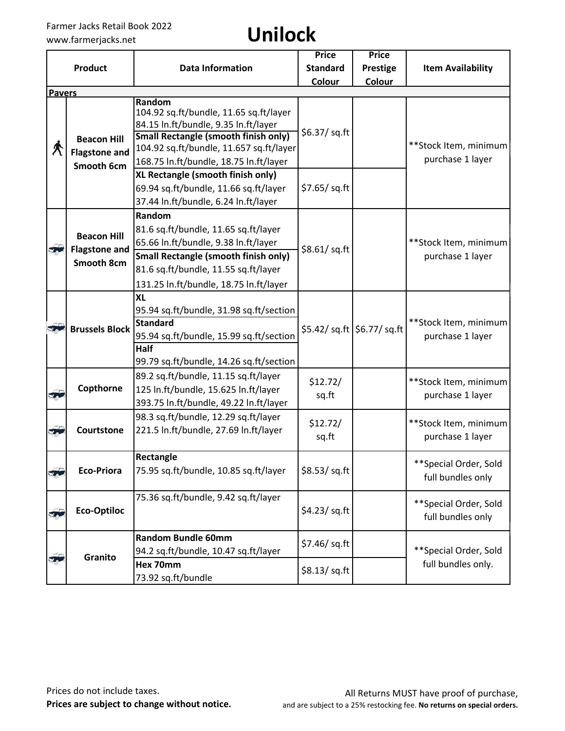| <b>Item Availability</b>                         |                       |
|--------------------------------------------------|-----------------------|
|                                                  |                       |
|                                                  |                       |
|                                                  |                       |
|                                                  |                       |
| **Stock Item, minimum                            |                       |
|                                                  |                       |
| purchase 1 layer                                 |                       |
|                                                  |                       |
|                                                  |                       |
|                                                  |                       |
|                                                  |                       |
|                                                  |                       |
| **Stock Item, minimum                            |                       |
| purchase 1 layer                                 |                       |
|                                                  |                       |
|                                                  |                       |
|                                                  |                       |
|                                                  |                       |
| **Stock Item, minimum                            |                       |
| \$5.42/ sq.ft \\$6.77/ sq.ft<br>purchase 1 layer |                       |
|                                                  |                       |
|                                                  | **Stock Item, minimum |
| purchase 1 layer                                 |                       |
|                                                  |                       |
| **Stock Item, minimum                            |                       |
| purchase 1 layer                                 |                       |
|                                                  |                       |
| **Special Order, Sold                            |                       |
| full bundles only                                |                       |
|                                                  |                       |
| ** Special Order, Sold                           |                       |
| full bundles only                                |                       |
|                                                  |                       |
|                                                  |                       |
| **Special Order, Sold                            |                       |
| full bundles only.                               |                       |
|                                                  |                       |
|                                                  |                       |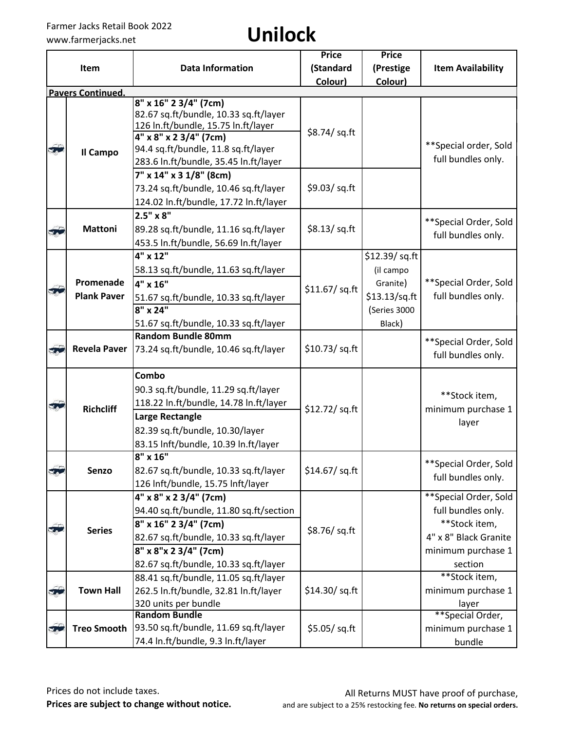|              |                                 |                                                               | <b>Price</b>   | <b>Price</b>                             |                                             |
|--------------|---------------------------------|---------------------------------------------------------------|----------------|------------------------------------------|---------------------------------------------|
|              | Item                            | <b>Data Information</b>                                       | (Standard      | (Prestige                                | <b>Item Availability</b>                    |
|              |                                 |                                                               | Colour)        | Colour)                                  |                                             |
|              | <b>Pavers Continued.</b>        |                                                               |                |                                          |                                             |
|              |                                 | 8" x 16" 2 3/4" (7cm)                                         |                |                                          |                                             |
|              |                                 | 82.67 sq.ft/bundle, 10.33 sq.ft/layer                         |                |                                          |                                             |
|              |                                 | 126 In.ft/bundle, 15.75 In.ft/layer<br>4" x 8" x 2 3/4" (7cm) | \$8.74/ sq.ft  |                                          |                                             |
| - 1          |                                 | 94.4 sq.ft/bundle, 11.8 sq.ft/layer                           |                |                                          | **Special order, Sold                       |
|              | Il Campo                        | 283.6 In.ft/bundle, 35.45 In.ft/layer                         |                |                                          | full bundles only.                          |
|              |                                 | 7" x 14" x 3 1/8" (8cm)                                       |                |                                          |                                             |
|              |                                 | 73.24 sq.ft/bundle, 10.46 sq.ft/layer                         | \$9.03/ sq.ft  |                                          |                                             |
|              |                                 | 124.02 In.ft/bundle, 17.72 In.ft/layer                        |                |                                          |                                             |
|              |                                 | $2.5" \times 8"$                                              |                |                                          |                                             |
|              | <b>Mattoni</b>                  | 89.28 sq.ft/bundle, 11.16 sq.ft/layer                         | \$8.13/ sq.ft  |                                          | ** Special Order, Sold                      |
|              |                                 | 453.5 In.ft/bundle, 56.69 In.ft/layer                         |                |                                          | full bundles only.                          |
|              |                                 | 4" x 12"                                                      |                | \$12.39/ sq.ft                           |                                             |
|              |                                 | 58.13 sq.ft/bundle, 11.63 sq.ft/layer                         |                | (il campo<br>Granite)<br>$$13.13$ /sq.ft |                                             |
|              | Promenade<br><b>Plank Paver</b> | 4" x 16"                                                      | \$11.67/ sq.ft |                                          | **Special Order, Sold<br>full bundles only. |
|              |                                 |                                                               |                |                                          |                                             |
|              |                                 | 51.67 sq.ft/bundle, 10.33 sq.ft/layer<br>$8''$ x 24"          |                | (Series 3000                             |                                             |
|              |                                 | 51.67 sq.ft/bundle, 10.33 sq.ft/layer                         |                | Black)                                   |                                             |
|              |                                 | <b>Random Bundle 80mm</b>                                     |                |                                          |                                             |
| 50           | <b>Revela Paver</b>             | 73.24 sq.ft/bundle, 10.46 sq.ft/layer                         | \$10.73/ sq.ft |                                          | **Special Order, Sold                       |
|              |                                 |                                                               |                |                                          | full bundles only.                          |
|              |                                 | Combo                                                         |                |                                          |                                             |
|              |                                 | 90.3 sq.ft/bundle, 11.29 sq.ft/layer                          |                |                                          |                                             |
| $\sqrt{2}$   |                                 | 118.22 In.ft/bundle, 14.78 In.ft/layer                        | \$12.72/sq.ft  |                                          | **Stock item,<br>minimum purchase 1         |
|              | <b>Richcliff</b>                | <b>Large Rectangle</b>                                        |                |                                          |                                             |
|              |                                 | 82.39 sq.ft/bundle, 10.30/layer                               |                |                                          | layer                                       |
|              |                                 | 83.15 Inft/bundle, 10.39 In.ft/layer                          |                |                                          |                                             |
|              |                                 | $8" \times 16"$                                               |                |                                          |                                             |
| 3            | Senzo                           | 82.67 sq.ft/bundle, 10.33 sq.ft/layer                         | \$14.67/ sq.ft |                                          | ** Special Order, Sold                      |
|              |                                 | 126 Inft/bundle, 15.75 Inft/layer                             |                |                                          | full bundles only.                          |
|              |                                 | 4" x 8" x 2 3/4" (7cm)                                        |                |                                          | ** Special Order, Sold                      |
|              |                                 | 94.40 sq.ft/bundle, 11.80 sq.ft/section                       |                |                                          | full bundles only.                          |
| $\mathbf{X}$ | <b>Series</b>                   | 8" x 16" 2 3/4" (7cm)                                         | \$8.76/sq.ft   |                                          | **Stock item,                               |
|              |                                 | 82.67 sq.ft/bundle, 10.33 sq.ft/layer                         |                |                                          | 4" x 8" Black Granite                       |
|              |                                 | 8" x 8"x 2 3/4" (7cm)                                         |                |                                          | minimum purchase 1                          |
|              |                                 | 82.67 sq.ft/bundle, 10.33 sq.ft/layer                         |                |                                          | section                                     |
|              |                                 | 88.41 sq.ft/bundle, 11.05 sq.ft/layer                         |                |                                          | **Stock item,                               |
| 3            | <b>Town Hall</b>                | 262.5 In.ft/bundle, 32.81 In.ft/layer                         | \$14.30/ sq.ft |                                          | minimum purchase 1                          |
|              |                                 | 320 units per bundle                                          |                |                                          | layer                                       |
|              |                                 | <b>Random Bundle</b>                                          |                |                                          | **Special Order,                            |
| 50           | <b>Treo Smooth</b>              | 93.50 sq.ft/bundle, 11.69 sq.ft/layer                         | \$5.05/sq.ft   |                                          | minimum purchase 1                          |
|              |                                 | 74.4 In.ft/bundle, 9.3 In.ft/layer                            |                |                                          | bundle                                      |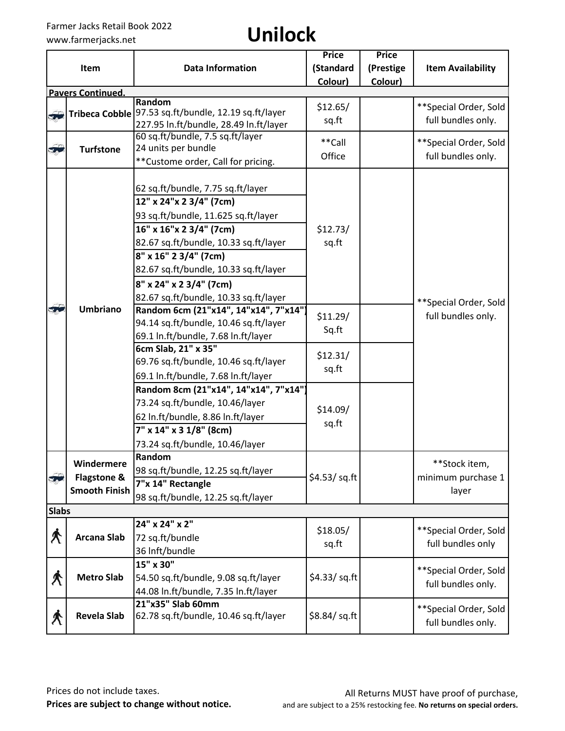|               | Item                                              | <b>Data Information</b>                                                                                                                                                                                                                                                                                                                                                                                                                                                                                  | <b>Price</b><br>(Standard                          | <b>Price</b><br>(Prestige | <b>Item Availability</b>                     |
|---------------|---------------------------------------------------|----------------------------------------------------------------------------------------------------------------------------------------------------------------------------------------------------------------------------------------------------------------------------------------------------------------------------------------------------------------------------------------------------------------------------------------------------------------------------------------------------------|----------------------------------------------------|---------------------------|----------------------------------------------|
|               |                                                   |                                                                                                                                                                                                                                                                                                                                                                                                                                                                                                          | Colour)                                            | Colour)                   |                                              |
|               | <b>Pavers Continued.</b>                          |                                                                                                                                                                                                                                                                                                                                                                                                                                                                                                          |                                                    |                           |                                              |
|               |                                                   | Random                                                                                                                                                                                                                                                                                                                                                                                                                                                                                                   | \$12.65/                                           |                           | ** Special Order, Sold                       |
| 50            | <b>Tribeca Cobble</b>                             | 97.53 sq.ft/bundle, 12.19 sq.ft/layer<br>227.95 In.ft/bundle, 28.49 In.ft/layer                                                                                                                                                                                                                                                                                                                                                                                                                          | sq.ft                                              |                           | full bundles only.                           |
|               |                                                   | 60 sq.ft/bundle, 7.5 sq.ft/layer                                                                                                                                                                                                                                                                                                                                                                                                                                                                         |                                                    |                           |                                              |
| $\frac{1}{2}$ | <b>Turfstone</b>                                  | 24 units per bundle                                                                                                                                                                                                                                                                                                                                                                                                                                                                                      | **Call                                             |                           | **Special Order, Sold                        |
|               |                                                   | ** Custome order, Call for pricing.                                                                                                                                                                                                                                                                                                                                                                                                                                                                      | Office                                             |                           | full bundles only.                           |
| $\mathbf{r}$  | <b>Umbriano</b>                                   | 62 sq.ft/bundle, 7.75 sq.ft/layer<br>12" x 24" x 2 3/4" (7cm)<br>93 sq.ft/bundle, 11.625 sq.ft/layer<br>16" x 16" x 2 3/4" (7cm)<br>82.67 sq.ft/bundle, 10.33 sq.ft/layer<br>8" x 16" 2 3/4" (7cm)<br>82.67 sq.ft/bundle, 10.33 sq.ft/layer<br>8" x 24" x 2 3/4" (7cm)<br>82.67 sq.ft/bundle, 10.33 sq.ft/layer<br>Random 6cm (21"x14", 14"x14", 7"x14")<br>94.14 sq.ft/bundle, 10.46 sq.ft/layer<br>69.1 In.ft/bundle, 7.68 In.ft/layer<br>6cm Slab, 21" x 35"<br>69.76 sq.ft/bundle, 10.46 sq.ft/layer | \$12.73/<br>sq.ft<br>\$11.29/<br>Sq.ft<br>\$12.31/ |                           | **Special Order, Sold<br>full bundles only.  |
|               |                                                   | 69.1 In.ft/bundle, 7.68 In.ft/layer<br>Random 8cm (21"x14", 14"x14", 7"x14")<br>73.24 sq.ft/bundle, 10.46/layer<br>62 In.ft/bundle, 8.86 In.ft/layer<br>7" x 14" x 3 1/8" (8cm)<br>73.24 sq.ft/bundle, 10.46/layer                                                                                                                                                                                                                                                                                       | sq.ft<br>\$14.09/<br>sq.ft                         |                           |                                              |
| 50            | Windermere<br>Flagstone &<br><b>Smooth Finish</b> | Random<br>98 sq.ft/bundle, 12.25 sq.ft/layer<br>7"x 14" Rectangle<br>98 sq.ft/bundle, 12.25 sq.ft/layer                                                                                                                                                                                                                                                                                                                                                                                                  | \$4.53/sq.ft                                       |                           | **Stock item,<br>minimum purchase 1<br>layer |
| <b>Slabs</b>  |                                                   |                                                                                                                                                                                                                                                                                                                                                                                                                                                                                                          |                                                    |                           |                                              |
| $\bigwedge$   | <b>Arcana Slab</b>                                | 24" x 24" x 2"<br>72 sq.ft/bundle<br>36 Inft/bundle                                                                                                                                                                                                                                                                                                                                                                                                                                                      | \$18.05/<br>sq.ft                                  |                           | **Special Order, Sold<br>full bundles only   |
| K             | <b>Metro Slab</b>                                 | 15" x 30"<br>54.50 sq.ft/bundle, 9.08 sq.ft/layer<br>44.08 In.ft/bundle, 7.35 In.ft/layer                                                                                                                                                                                                                                                                                                                                                                                                                | \$4.33/ sq. ft                                     |                           | **Special Order, Sold<br>full bundles only.  |
| 术             | <b>Revela Slab</b>                                | 21"x35" Slab 60mm<br>62.78 sq.ft/bundle, 10.46 sq.ft/layer                                                                                                                                                                                                                                                                                                                                                                                                                                               | \$8.84/sq.ft                                       |                           | **Special Order, Sold<br>full bundles only.  |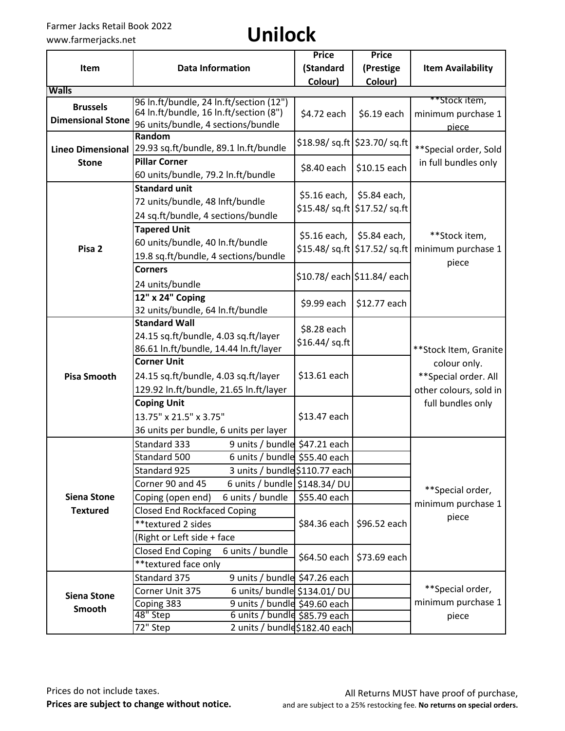|                          |                                                     | <b>Price</b>   | <b>Price</b>                                |                                                                      |  |
|--------------------------|-----------------------------------------------------|----------------|---------------------------------------------|----------------------------------------------------------------------|--|
| Item                     | <b>Data Information</b>                             | (Standard      | (Prestige                                   | <b>Item Availability</b>                                             |  |
|                          |                                                     | Colour)        | Colour)                                     |                                                                      |  |
| <b>Walls</b>             | 96 In.ft/bundle, 24 In.ft/section (12")             |                |                                             | **Stock item,                                                        |  |
| <b>Brussels</b>          | 64 In.ft/bundle, 16 In.ft/section (8")              | \$4.72 each    | \$6.19 each                                 | minimum purchase 1                                                   |  |
| <b>Dimensional Stone</b> | 96 units/bundle, 4 sections/bundle                  |                |                                             | piece                                                                |  |
|                          | Random                                              |                |                                             |                                                                      |  |
| <b>Lineo Dimensional</b> | 29.93 sq.ft/bundle, 89.1 ln.ft/bundle               |                | \$18.98/ sq.ft   \$23.70/ sq.ft             | ** Special order, Sold                                               |  |
| <b>Stone</b>             | <b>Pillar Corner</b>                                | \$8.40 each    | \$10.15 each                                | in full bundles only                                                 |  |
|                          | 60 units/bundle, 79.2 ln.ft/bundle                  |                |                                             |                                                                      |  |
|                          | <b>Standard unit</b>                                | \$5.16 each,   | \$5.84 each,                                |                                                                      |  |
|                          | 72 units/bundle, 48 Inft/bundle                     |                | \$15.48/ sq.ft   \$17.52/ sq.ft             |                                                                      |  |
|                          | 24 sq.ft/bundle, 4 sections/bundle                  |                |                                             |                                                                      |  |
|                          | <b>Tapered Unit</b>                                 | \$5.16 each,   | \$5.84 each,                                | **Stock item,                                                        |  |
| Pisa <sub>2</sub>        | 60 units/bundle, 40 ln.ft/bundle                    |                |                                             |                                                                      |  |
|                          | 19.8 sq.ft/bundle, 4 sections/bundle                |                | \$15.48/ sq.ft $\frac{1}{2}$ \$17.52/ sq.ft | minimum purchase 1                                                   |  |
|                          | <b>Corners</b>                                      |                |                                             | piece                                                                |  |
|                          | 24 units/bundle                                     |                | \$10.78/ each \$11.84/ each                 |                                                                      |  |
|                          | 12" x 24" Coping                                    |                |                                             |                                                                      |  |
|                          | 32 units/bundle, 64 ln.ft/bundle                    | \$9.99 each    | \$12.77 each                                |                                                                      |  |
|                          | <b>Standard Wall</b>                                | \$8.28 each    |                                             |                                                                      |  |
|                          | 24.15 sq.ft/bundle, 4.03 sq.ft/layer                | \$16.44/ sq.ft |                                             |                                                                      |  |
|                          | 86.61 In.ft/bundle, 14.44 In.ft/layer               |                |                                             | **Stock Item, Granite                                                |  |
|                          | <b>Corner Unit</b>                                  |                |                                             | colour only.                                                         |  |
| <b>Pisa Smooth</b>       | 24.15 sq.ft/bundle, 4.03 sq.ft/layer                | \$13.61 each   |                                             | ** Special order. All<br>other colours, sold in<br>full bundles only |  |
|                          | 129.92 In.ft/bundle, 21.65 In.ft/layer              |                |                                             |                                                                      |  |
|                          | <b>Coping Unit</b>                                  |                |                                             |                                                                      |  |
|                          | 13.75" x 21.5" x 3.75"                              | \$13.47 each   |                                             |                                                                      |  |
|                          | 36 units per bundle, 6 units per layer              |                |                                             |                                                                      |  |
|                          | 9 units / bundle \$47.21 each<br>Standard 333       |                |                                             |                                                                      |  |
|                          | 6 units / bundle \$55.40 each<br>Standard 500       |                |                                             |                                                                      |  |
|                          | 3 units / bundle \$110.77 each<br>Standard 925      |                |                                             |                                                                      |  |
|                          | Corner 90 and 45<br>6 units / bundle   \$148.34/ DU |                |                                             | **Special order,                                                     |  |
| <b>Siena Stone</b>       | Coping (open end)<br>6 units / bundle               | \$55.40 each   |                                             | minimum purchase 1                                                   |  |
| <b>Textured</b>          | <b>Closed End Rockfaced Coping</b>                  |                |                                             |                                                                      |  |
|                          | **textured 2 sides                                  | $$84.36$ each  | \$96.52 each                                | piece                                                                |  |
|                          | (Right or Left side + face                          |                |                                             |                                                                      |  |
|                          | <b>Closed End Coping</b><br>6 units / bundle        | \$64.50 each   | \$73.69 each                                |                                                                      |  |
|                          | ** textured face only                               |                |                                             |                                                                      |  |
|                          | Standard 375<br>9 units / bundle \$47.26 each       |                |                                             |                                                                      |  |
| <b>Siena Stone</b>       | 6 units/ bundle \$134.01/ DU<br>Corner Unit 375     |                |                                             | **Special order,                                                     |  |
| Smooth                   | Coping 383<br>9 units / bundle \$49.60 each         |                |                                             | minimum purchase 1                                                   |  |
|                          | 48" Step<br>6 units / bundle \$85.79 each           |                |                                             | piece                                                                |  |
|                          | 72" Step<br>2 units / bundld\$182.40 each           |                |                                             |                                                                      |  |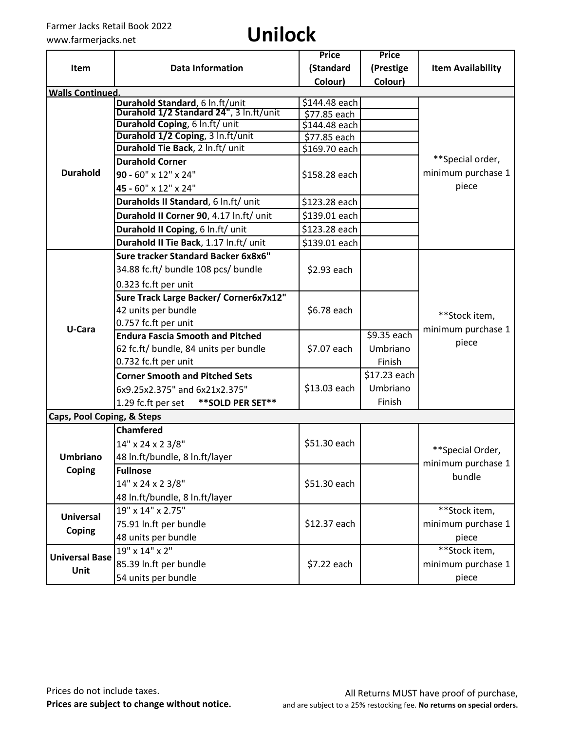|                            |                                                                            | <b>Price</b>                  | <b>Price</b> |                          |  |
|----------------------------|----------------------------------------------------------------------------|-------------------------------|--------------|--------------------------|--|
| <b>Item</b>                | <b>Data Information</b>                                                    | (Standard                     | (Prestige    | <b>Item Availability</b> |  |
|                            |                                                                            | Colour)                       | Colour)      |                          |  |
| <b>Walls Continued.</b>    |                                                                            |                               |              |                          |  |
|                            | Durahold Standard, 6 In.ft/unit<br>Durahold 1/2 Standard 24", 3 In.ft/unit | \$144.48 each                 |              |                          |  |
|                            | Durahold Coping, 6 In.ft/ unit                                             | \$77.85 each<br>\$144.48 each |              |                          |  |
|                            | Durahold 1/2 Coping, 3 In.ft/unit                                          | \$77.85 each                  |              |                          |  |
|                            | Durahold Tie Back, 2 In.ft/ unit                                           | \$169.70 each                 |              |                          |  |
|                            | <b>Durahold Corner</b>                                                     |                               |              | **Special order,         |  |
| <b>Durahold</b>            | 90 - 60" x 12" x 24"                                                       | \$158.28 each                 |              | minimum purchase 1       |  |
|                            | 45 - 60" x 12" x 24"                                                       |                               |              | piece                    |  |
|                            | Duraholds II Standard, 6 In.ft/ unit                                       | \$123.28 each                 |              |                          |  |
|                            | Durahold II Corner 90, 4.17 In.ft/ unit                                    | \$139.01 each                 |              |                          |  |
|                            | Durahold II Coping, 6 In.ft/ unit                                          | \$123.28 each                 |              |                          |  |
|                            | Durahold II Tie Back, 1.17 In.ft/ unit                                     | \$139.01 each                 |              |                          |  |
|                            | Sure tracker Standard Backer 6x8x6"                                        |                               |              |                          |  |
|                            | 34.88 fc.ft/ bundle 108 pcs/ bundle                                        | \$2.93 each                   |              |                          |  |
|                            | 0.323 fc.ft per unit                                                       |                               |              |                          |  |
|                            | Sure Track Large Backer/ Corner6x7x12"                                     |                               |              |                          |  |
|                            | 42 units per bundle                                                        | \$6.78 each                   |              | **Stock item,            |  |
| U-Cara                     | 0.757 fc.ft per unit                                                       |                               |              | minimum purchase 1       |  |
|                            | <b>Endura Fascia Smooth and Pitched</b>                                    |                               | \$9.35 each  | piece                    |  |
|                            | 62 fc.ft/ bundle, 84 units per bundle                                      | \$7.07 each                   | Umbriano     |                          |  |
|                            | 0.732 fc.ft per unit                                                       |                               | Finish       |                          |  |
|                            | <b>Corner Smooth and Pitched Sets</b>                                      |                               | \$17.23 each |                          |  |
|                            | 6x9.25x2.375" and 6x21x2.375"                                              | \$13.03 each                  | Umbriano     |                          |  |
|                            | ** SOLD PER SET**<br>1.29 fc.ft per set                                    |                               | Finish       |                          |  |
| Caps, Pool Coping, & Steps |                                                                            |                               |              |                          |  |
|                            | <b>Chamfered</b>                                                           |                               |              |                          |  |
|                            | 14" x 24 x 2 3/8"                                                          | \$51.30 each                  |              | **Special Order,         |  |
| <b>Umbriano</b>            | 48 In.ft/bundle, 8 In.ft/layer                                             |                               |              | minimum purchase 1       |  |
| Coping                     | <b>Fullnose</b>                                                            |                               |              | bundle                   |  |
|                            | 14" x 24 x 2 3/8"                                                          | \$51.30 each                  |              |                          |  |
|                            | 48 In.ft/bundle, 8 In.ft/layer                                             |                               |              |                          |  |
|                            | 19" x 14" x 2.75"                                                          |                               |              | **Stock item,            |  |
| <b>Universal</b>           | 75.91 In.ft per bundle                                                     | \$12.37 each                  |              | minimum purchase 1       |  |
| Coping                     | 48 units per bundle                                                        |                               |              | piece                    |  |
| <b>Universal Base</b>      | 19" x 14" x 2"                                                             |                               |              | **Stock item,            |  |
|                            | 85.39 In.ft per bundle                                                     | \$7.22 each                   |              | minimum purchase 1       |  |
| Unit                       | 54 units per bundle                                                        |                               |              | piece                    |  |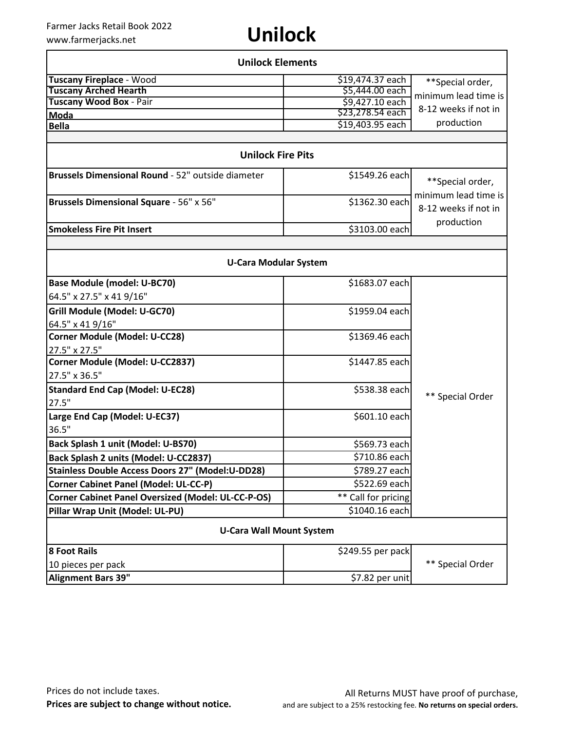| <b>Unilock Elements</b>                                   |                     |                                              |  |  |
|-----------------------------------------------------------|---------------------|----------------------------------------------|--|--|
| <b>Tuscany Fireplace - Wood</b>                           | \$19,474.37 each    | **Special order,                             |  |  |
| <b>Tuscany Arched Hearth</b>                              | \$5,444.00 each     | minimum lead time is                         |  |  |
| Tuscany Wood Box - Pair                                   | \$9,427.10 each     | 8-12 weeks if not in                         |  |  |
| Moda                                                      | \$23,278.54 each    |                                              |  |  |
| <b>Bella</b>                                              | \$19,403.95 each    | production                                   |  |  |
|                                                           |                     |                                              |  |  |
| <b>Unilock Fire Pits</b>                                  |                     |                                              |  |  |
| Brussels Dimensional Round - 52" outside diameter         | \$1549.26 each      | **Special order,                             |  |  |
| <b>Brussels Dimensional Square - 56" x 56"</b>            | \$1362.30 each      | minimum lead time is<br>8-12 weeks if not in |  |  |
| <b>Smokeless Fire Pit Insert</b>                          | \$3103.00 each      | production                                   |  |  |
|                                                           |                     |                                              |  |  |
|                                                           |                     |                                              |  |  |
| <b>U-Cara Modular System</b>                              |                     |                                              |  |  |
| <b>Base Module (model: U-BC70)</b>                        | \$1683.07 each      |                                              |  |  |
| 64.5" x 27.5" x 41 9/16"                                  |                     |                                              |  |  |
| Grill Module (Model: U-GC70)                              | \$1959.04 each      |                                              |  |  |
| 64.5" x 41 9/16"                                          |                     |                                              |  |  |
| <b>Corner Module (Model: U-CC28)</b>                      | \$1369.46 each      |                                              |  |  |
| 27.5" x 27.5"                                             |                     |                                              |  |  |
| Corner Module (Model: U-CC2837)                           | \$1447.85 each      |                                              |  |  |
| 27.5" x 36.5"                                             |                     |                                              |  |  |
| <b>Standard End Cap (Model: U-EC28)</b>                   | \$538.38 each       |                                              |  |  |
| 27.5"                                                     |                     | ** Special Order                             |  |  |
| Large End Cap (Model: U-EC37)                             | \$601.10 each       |                                              |  |  |
| 36.5"                                                     |                     |                                              |  |  |
| Back Splash 1 unit (Model: U-BS70)                        | \$569.73 each       |                                              |  |  |
| Back Splash 2 units (Model: U-CC2837)                     | \$710.86 each       |                                              |  |  |
| <b>Stainless Double Access Doors 27" (Model:U-DD28)</b>   | \$789.27 each       |                                              |  |  |
|                                                           |                     |                                              |  |  |
| <b>Corner Cabinet Panel (Model: UL-CC-P)</b>              | \$522.69 each       |                                              |  |  |
| <b>Corner Cabinet Panel Oversized (Model: UL-CC-P-OS)</b> | ** Call for pricing |                                              |  |  |
| Pillar Wrap Unit (Model: UL-PU)                           | \$1040.16 each      |                                              |  |  |
| <b>U-Cara Wall Mount System</b>                           |                     |                                              |  |  |
| <b>8 Foot Rails</b>                                       | \$249.55 per pack   |                                              |  |  |
| 10 pieces per pack                                        |                     | ** Special Order                             |  |  |
| <b>Alignment Bars 39"</b>                                 | \$7.82 per unit     |                                              |  |  |
|                                                           |                     |                                              |  |  |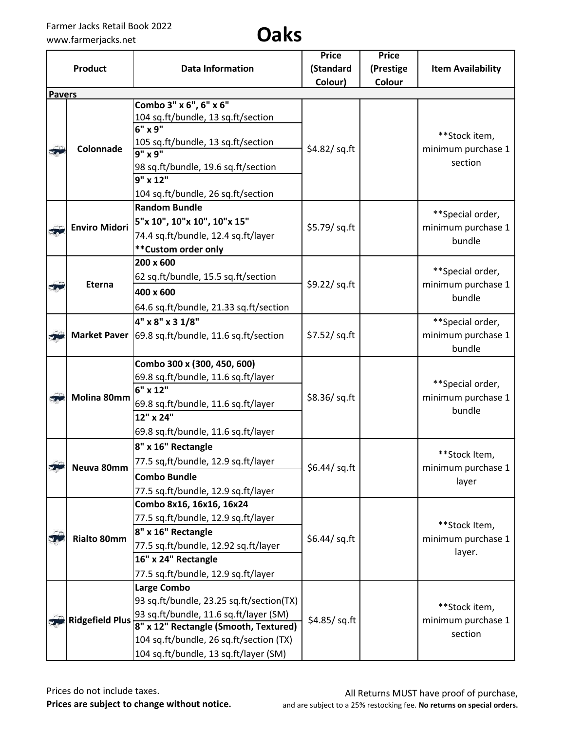## www.farmerjacks.net **Oaks**

|                         |                        |                                                    | <b>Price</b>    | <b>Price</b> |                                                  |
|-------------------------|------------------------|----------------------------------------------------|-----------------|--------------|--------------------------------------------------|
|                         | <b>Product</b>         | <b>Data Information</b>                            | (Standard       | (Prestige    | <b>Item Availability</b>                         |
|                         |                        |                                                    | Colour)         | Colour       |                                                  |
| <b>Pavers</b>           |                        |                                                    |                 |              |                                                  |
|                         |                        | Combo 3" x 6", 6" x 6"                             |                 |              |                                                  |
|                         |                        | 104 sq.ft/bundle, 13 sq.ft/section<br>$6"$ x 9"    |                 |              |                                                  |
|                         |                        | 105 sq.ft/bundle, 13 sq.ft/section                 |                 |              | **Stock item,                                    |
| $\overline{\mathbf{S}}$ | Colonnade              | $9''$ x $9''$                                      | $$4.82$ /sq.ft  |              | minimum purchase 1                               |
|                         |                        | 98 sq.ft/bundle, 19.6 sq.ft/section                |                 |              | section                                          |
|                         |                        | 9" x 12"                                           |                 |              |                                                  |
|                         |                        | 104 sq.ft/bundle, 26 sq.ft/section                 |                 |              |                                                  |
|                         |                        | <b>Random Bundle</b>                               |                 |              |                                                  |
|                         | <b>Enviro Midori</b>   | 5"x 10", 10"x 10", 10"x 15"                        | \$5.79/ sq.ft   |              | **Special order,<br>minimum purchase 1           |
|                         |                        | 74.4 sq.ft/bundle, 12.4 sq.ft/layer                |                 |              | bundle                                           |
|                         |                        | ** Custom order only                               |                 |              |                                                  |
|                         |                        | 200 x 600                                          |                 |              |                                                  |
|                         |                        | 62 sq.ft/bundle, 15.5 sq.ft/section                |                 |              | **Special order,                                 |
| $\sqrt{2}$              | Eterna                 | 400 x 600                                          | \$9.22/ sq.ft   |              | minimum purchase 1<br>bundle                     |
|                         |                        | 64.6 sq.ft/bundle, 21.33 sq.ft/section             |                 |              |                                                  |
|                         |                        | 4" x 8" x 3 1/8"                                   |                 |              | **Special order,                                 |
| 50                      |                        | Market Paver 69.8 sq.ft/bundle, 11.6 sq.ft/section | \$7.52/ sq. ft  |              | minimum purchase 1                               |
|                         |                        |                                                    |                 |              | bundle                                           |
|                         |                        | Combo 300 x (300, 450, 600)                        |                 |              |                                                  |
|                         |                        | 69.8 sq.ft/bundle, 11.6 sq.ft/layer                |                 |              | **Special order,<br>minimum purchase 1<br>bundle |
|                         |                        | 6" x 12"                                           | \$8.36/sq.ft    |              |                                                  |
| 5.                      | Molina 80mm            | 69.8 sq.ft/bundle, 11.6 sq.ft/layer                |                 |              |                                                  |
|                         |                        | 12" x 24"                                          |                 |              |                                                  |
|                         |                        | 69.8 sq.ft/bundle, 11.6 sq.ft/layer                |                 |              |                                                  |
|                         |                        | 8" x 16" Rectangle                                 |                 |              |                                                  |
|                         |                        | 77.5 sq,ft/bundle, 12.9 sq.ft/layer                |                 |              | **Stock Item,                                    |
|                         | Neuva 80mm             | <b>Combo Bundle</b>                                | $$6.44$ / sq.ft |              | minimum purchase 1<br>layer                      |
|                         |                        | 77.5 sq.ft/bundle, 12.9 sq.ft/layer                |                 |              |                                                  |
|                         |                        | Combo 8x16, 16x16, 16x24                           |                 |              |                                                  |
|                         |                        | 77.5 sq.ft/bundle, 12.9 sq.ft/layer                |                 |              |                                                  |
|                         |                        | 8" x 16" Rectangle                                 |                 |              | **Stock Item,                                    |
|                         | <b>Rialto 80mm</b>     | 77.5 sq.ft/bundle, 12.92 sq.ft/layer               | \$6.44/ sq.ft   |              | minimum purchase 1                               |
|                         |                        | 16" x 24" Rectangle                                |                 |              | layer.                                           |
|                         |                        | 77.5 sq.ft/bundle, 12.9 sq.ft/layer                |                 |              |                                                  |
|                         |                        | Large Combo                                        |                 |              |                                                  |
|                         |                        | 93 sq.ft/bundle, 23.25 sq.ft/section(TX)           |                 |              | **Stock item,                                    |
|                         | <b>Ridgefield Plus</b> | 93 sq.ft/bundle, 11.6 sq.ft/layer (SM)             | \$4.85/sq.ft    |              | minimum purchase 1                               |
|                         |                        | 8" x 12" Rectangle (Smooth, Textured)              |                 |              | section                                          |
|                         |                        | 104 sq.ft/bundle, 26 sq.ft/section (TX)            |                 |              |                                                  |
|                         |                        | 104 sq.ft/bundle, 13 sq.ft/layer (SM)              |                 |              |                                                  |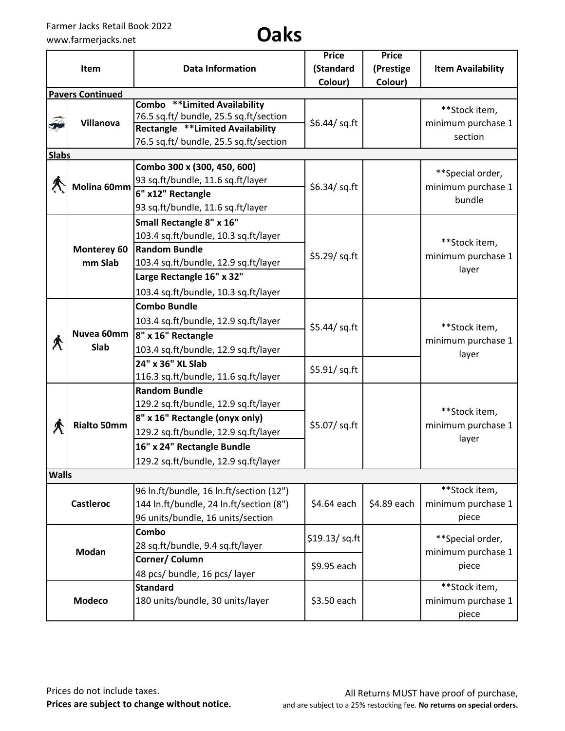## www.farmerjacks.net **Oaks**

|              | Item                    | <b>Data Information</b>                                                                                                                                                                                      | <b>Price</b><br>(Standard      | <b>Price</b><br>(Prestige | <b>Item Availability</b>                         |
|--------------|-------------------------|--------------------------------------------------------------------------------------------------------------------------------------------------------------------------------------------------------------|--------------------------------|---------------------------|--------------------------------------------------|
|              |                         |                                                                                                                                                                                                              | Colour)                        | Colour)                   |                                                  |
|              | <b>Pavers Continued</b> |                                                                                                                                                                                                              |                                |                           |                                                  |
| 5            | Villanova               | Combo **Limited Availability<br>76.5 sq.ft/ bundle, 25.5 sq.ft/section<br><b>Rectangle **Limited Availability</b><br>76.5 sq.ft/ bundle, 25.5 sq.ft/section                                                  | \$6.44/ sq.ft                  |                           | **Stock item,<br>minimum purchase 1<br>section   |
| <b>Slabs</b> |                         |                                                                                                                                                                                                              |                                |                           |                                                  |
|              | Molina 60mm             | Combo 300 x (300, 450, 600)<br>93 sq.ft/bundle, 11.6 sq.ft/layer<br>6" x12" Rectangle<br>93 sq.ft/bundle, 11.6 sq.ft/layer                                                                                   | \$6.34/ sq.ft                  |                           | **Special order,<br>minimum purchase 1<br>bundle |
|              | Monterey 60<br>mm Slab  | Small Rectangle 8" x 16"<br>103.4 sq.ft/bundle, 10.3 sq.ft/layer<br><b>Random Bundle</b><br>103.4 sq.ft/bundle, 12.9 sq.ft/layer<br>Large Rectangle 16" x 32"<br>103.4 sq.ft/bundle, 10.3 sq.ft/layer        | \$5.29/ sq.ft                  |                           | **Stock item,<br>minimum purchase 1<br>layer     |
| $\bigwedge$  | Nuvea 60mm<br>Slab      | <b>Combo Bundle</b><br>103.4 sq.ft/bundle, 12.9 sq.ft/layer<br>8" x 16" Rectangle<br>103.4 sq.ft/bundle, 12.9 sq.ft/layer<br>24" x 36" XL Slab<br>116.3 sq.ft/bundle, 11.6 sq.ft/layer                       | \$5.44/ sq.ft<br>\$5.91/ sq.ft |                           | **Stock item,<br>minimum purchase 1<br>layer     |
| Л            | <b>Rialto 50mm</b>      | <b>Random Bundle</b><br>129.2 sq.ft/bundle, 12.9 sq.ft/layer<br>8" x 16" Rectangle (onyx only)<br>129.2 sq.ft/bundle, 12.9 sq.ft/layer<br>16" x 24" Rectangle Bundle<br>129.2 sq.ft/bundle, 12.9 sq.ft/layer | \$5.07/ sq.ft                  |                           | **Stock item,<br>minimum purchase 1<br>layer     |
| <b>Walls</b> |                         |                                                                                                                                                                                                              |                                |                           |                                                  |
|              | <b>Castleroc</b>        | 96 In.ft/bundle, 16 In.ft/section (12")<br>144 In.ft/bundle, 24 In.ft/section (8")<br>96 units/bundle, 16 units/section                                                                                      | \$4.64 each                    | \$4.89 each               | **Stock item,<br>minimum purchase 1<br>piece     |
| <b>Modan</b> |                         | Combo<br>28 sq.ft/bundle, 9.4 sq.ft/layer<br>Corner/ Column<br>48 pcs/ bundle, 16 pcs/ layer                                                                                                                 | \$19.13/ sq.ft<br>\$9.95 each  |                           | **Special order,<br>minimum purchase 1<br>piece  |
|              | <b>Modeco</b>           | <b>Standard</b><br>180 units/bundle, 30 units/layer                                                                                                                                                          | \$3.50 each                    |                           | **Stock item,<br>minimum purchase 1<br>piece     |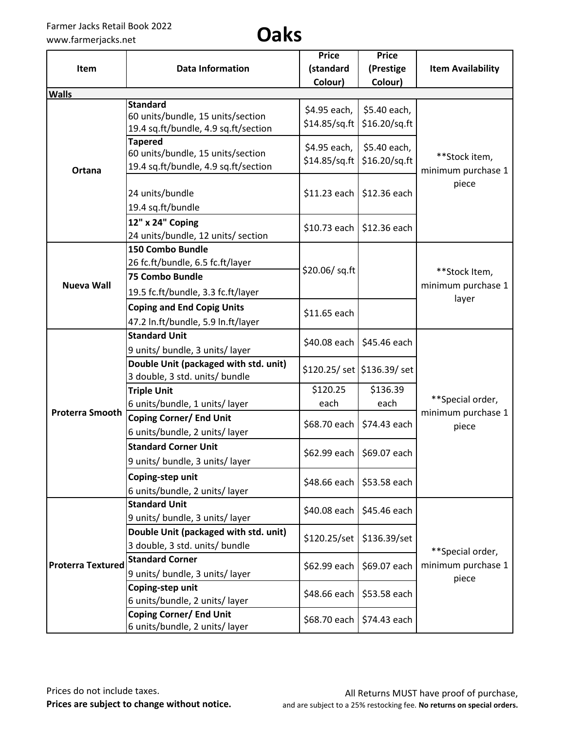| Item                     | <b>Data Information</b>                                                                                       | <b>Price</b><br>(standard     | <b>Price</b><br>(Prestige     | <b>Item Availability</b>                        |
|--------------------------|---------------------------------------------------------------------------------------------------------------|-------------------------------|-------------------------------|-------------------------------------------------|
| <b>Walls</b>             |                                                                                                               | Colour)                       | Colour)                       |                                                 |
|                          | <b>Standard</b><br>60 units/bundle, 15 units/section<br>19.4 sq.ft/bundle, 4.9 sq.ft/section                  | \$4.95 each,<br>\$14.85/sq.ft | \$5.40 each,<br>\$16.20/sq.ft |                                                 |
| Ortana                   | <b>Tapered</b><br>60 units/bundle, 15 units/section<br>19.4 sq.ft/bundle, 4.9 sq.ft/section                   | \$4.95 each,<br>\$14.85/sq.ft | \$5.40 each,<br>\$16.20/sq.ft | **Stock item,<br>minimum purchase 1             |
|                          | 24 units/bundle<br>19.4 sq.ft/bundle                                                                          | \$11.23 each                  | \$12.36 each                  | piece                                           |
|                          | 12" x 24" Coping<br>24 units/bundle, 12 units/ section                                                        | \$10.73 each                  | \$12.36 each                  |                                                 |
| <b>Nueva Wall</b>        | 150 Combo Bundle<br>26 fc.ft/bundle, 6.5 fc.ft/layer<br>75 Combo Bundle<br>19.5 fc.ft/bundle, 3.3 fc.ft/layer | \$20.06/sq.ft                 |                               | **Stock Item,<br>minimum purchase 1<br>layer    |
|                          | <b>Coping and End Copig Units</b><br>47.2 In.ft/bundle, 5.9 In.ft/layer                                       | \$11.65 each                  |                               |                                                 |
|                          | <b>Standard Unit</b><br>9 units/ bundle, 3 units/ layer                                                       | \$40.08 each                  | \$45.46 each                  |                                                 |
|                          | Double Unit (packaged with std. unit)<br>3 double, 3 std. units/ bundle                                       |                               | \$120.25/ set   \$136.39/ set | **Special order,<br>minimum purchase 1<br>piece |
|                          | <b>Triple Unit</b><br>6 units/bundle, 1 units/ layer                                                          | \$120.25<br>each              | \$136.39<br>each              |                                                 |
| <b>Proterra Smooth</b>   | <b>Coping Corner/ End Unit</b><br>6 units/bundle, 2 units/ layer                                              | \$68.70 each                  | \$74.43 each                  |                                                 |
|                          | <b>Standard Corner Unit</b><br>9 units/ bundle, 3 units/ layer                                                | \$62.99 each                  | \$69.07 each                  |                                                 |
|                          | Coping-step unit<br>6 units/bundle, 2 units/ layer                                                            | \$48.66 each                  | \$53.58 each                  |                                                 |
|                          | <b>Standard Unit</b><br>9 units/ bundle, 3 units/ layer                                                       | \$40.08 each                  | \$45.46 each                  |                                                 |
|                          | Double Unit (packaged with std. unit)<br>3 double, 3 std. units/ bundle                                       | \$120.25/set                  | \$136.39/set                  | **Special order,                                |
| <b>Proterra Textured</b> | <b>Standard Corner</b><br>9 units/ bundle, 3 units/ layer                                                     | \$62.99 each                  | \$69.07 each                  | minimum purchase 1<br>piece                     |
|                          | Coping-step unit<br>6 units/bundle, 2 units/ layer                                                            | \$48.66 each                  | \$53.58 each                  |                                                 |
|                          | <b>Coping Corner/ End Unit</b><br>6 units/bundle, 2 units/ layer                                              | \$68.70 each                  | \$74.43 each                  |                                                 |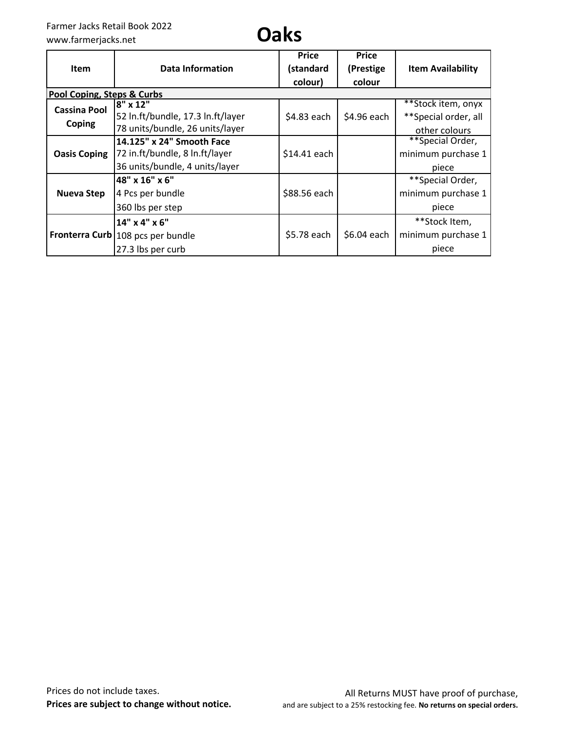## www.farmerjacks.net **Oaks**

| <b>Item</b>                | Data Information                    | <b>Price</b><br>(standard | <b>Price</b><br>(Prestige | <b>Item Availability</b> |
|----------------------------|-------------------------------------|---------------------------|---------------------------|--------------------------|
|                            |                                     | colour)                   | colour                    |                          |
| Pool Coping, Steps & Curbs |                                     |                           |                           |                          |
| <b>Cassina Pool</b>        | $8'' \times 12''$                   |                           |                           | **Stock item, onyx       |
|                            | 52 In.ft/bundle, 17.3 In.ft/layer   | \$4.83 each               | \$4.96 each               | ** Special order, all    |
| <b>Coping</b>              | 78 units/bundle, 26 units/layer     |                           |                           | other colours            |
|                            | 14.125" x 24" Smooth Face           |                           |                           | **Special Order,         |
| <b>Oasis Coping</b>        | 72 in.ft/bundle, 8 ln.ft/layer      | \$14.41 each              |                           | minimum purchase 1       |
|                            | 36 units/bundle, 4 units/layer      |                           |                           | piece                    |
|                            | 48" x 16" x 6"                      |                           |                           | **Special Order,         |
| <b>Nueva Step</b>          | 4 Pcs per bundle                    | \$88.56 each              |                           | minimum purchase 1       |
|                            | 360 lbs per step                    |                           |                           | piece                    |
|                            | 14" x 4" x 6"                       |                           |                           | **Stock Item,            |
|                            | Fronterra Curb   108 pcs per bundle | \$5.78 each               | \$6.04 each               | minimum purchase 1       |
|                            | 27.3 lbs per curb                   |                           |                           | piece                    |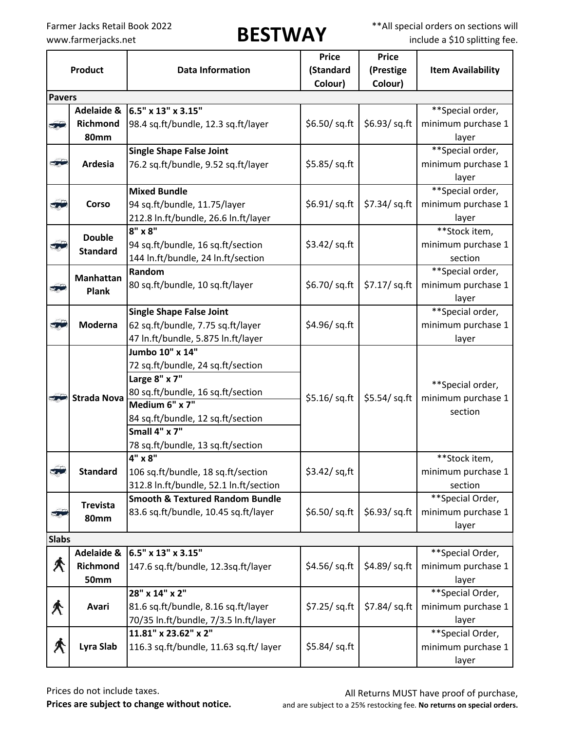Farmer Jacks Retail Book 2022<br> **BESTWAY** \*\*All special orders on sections will<br>
include a \$10 splitting fee. include a \$10 splitting fee.

|                          |                       |                                            | <b>Price</b>    | <b>Price</b>   |                          |
|--------------------------|-----------------------|--------------------------------------------|-----------------|----------------|--------------------------|
|                          | <b>Product</b>        | <b>Data Information</b>                    | (Standard       | (Prestige      | <b>Item Availability</b> |
|                          |                       |                                            | Colour)         | Colour)        |                          |
| <b>Pavers</b>            |                       |                                            |                 |                |                          |
|                          | <b>Adelaide &amp;</b> | 6.5" x 13" x 3.15"                         |                 |                | **Special order,         |
| 50                       | Richmond              | 98.4 sq.ft/bundle, 12.3 sq.ft/layer        | \$6.50/ sq. ft  | \$6.93/sq.ft   | minimum purchase 1       |
|                          | <b>80mm</b>           |                                            |                 |                | layer                    |
|                          |                       | <b>Single Shape False Joint</b>            |                 |                | **Special order,         |
| $\overline{\phantom{a}}$ | Ardesia               | 76.2 sq.ft/bundle, 9.52 sq.ft/layer        | \$5.85/sq.ft    |                | minimum purchase 1       |
|                          |                       |                                            |                 |                | layer                    |
|                          |                       | <b>Mixed Bundle</b>                        |                 |                | **Special order,         |
| 30                       | <b>Corso</b>          | 94 sq.ft/bundle, 11.75/layer               | $$6.91$ / sq.ft | $$7.34$ /sq.ft | minimum purchase 1       |
|                          |                       | 212.8 In.ft/bundle, 26.6 In.ft/layer       |                 |                | layer                    |
|                          | <b>Double</b>         | $8" \times 8"$                             |                 |                | **Stock item,            |
| $\mathbf{v}_i$           | <b>Standard</b>       | 94 sq.ft/bundle, 16 sq.ft/section          | \$3.42/ sq.ft   |                | minimum purchase 1       |
|                          |                       | 144 In.ft/bundle, 24 In.ft/section         |                 |                | section                  |
|                          | <b>Manhattan</b>      | Random                                     |                 |                | **Special order,         |
| $\mathbf{r}$             | <b>Plank</b>          | 80 sq.ft/bundle, 10 sq.ft/layer            | \$6.70/ sq.ft   | \$7.17/ sq.ft  | minimum purchase 1       |
|                          |                       |                                            |                 |                | layer                    |
|                          |                       | <b>Single Shape False Joint</b>            |                 |                | **Special order,         |
| 37                       | Moderna               | 62 sq.ft/bundle, 7.75 sq.ft/layer          | \$4.96/sq.ft    |                | minimum purchase 1       |
|                          |                       | 47 In.ft/bundle, 5.875 In.ft/layer         |                 |                | layer                    |
|                          | <b>Strada Nova</b>    | Jumbo 10" x 14"                            |                 |                |                          |
|                          |                       | 72 sq.ft/bundle, 24 sq.ft/section          |                 | \$5.54/ sq.ft  |                          |
|                          |                       | Large 8" x 7"                              |                 |                | **Special order,         |
| <b>PASS</b>              |                       | 80 sq.ft/bundle, 16 sq.ft/section          | \$5.16/sq.ft    |                | minimum purchase 1       |
|                          |                       | Medium 6" x 7"                             |                 |                | section                  |
|                          |                       | 84 sq.ft/bundle, 12 sq.ft/section          |                 |                |                          |
|                          |                       | Small 4" x 7"                              |                 |                |                          |
|                          |                       | 78 sq.ft/bundle, 13 sq.ft/section          |                 |                |                          |
|                          |                       | 4" x 8"                                    |                 |                | **Stock item,            |
| 3.3                      | <b>Standard</b>       | 106 sq.ft/bundle, 18 sq.ft/section         | \$3.42/sq,ft    |                | minimum purchase 1       |
|                          |                       | 312.8 In.ft/bundle, 52.1 In.ft/section     |                 |                | section                  |
|                          | <b>Trevista</b>       | <b>Smooth &amp; Textured Random Bundle</b> |                 |                | **Special Order,         |
| 51                       | <b>80mm</b>           | 83.6 sq.ft/bundle, 10.45 sq.ft/layer       | \$6.50/ sq.ft   | \$6.93/sq.ft   | minimum purchase 1       |
|                          |                       |                                            |                 |                | layer                    |
| <b>Slabs</b>             |                       |                                            |                 |                |                          |
|                          | <b>Adelaide &amp;</b> | 6.5" x 13" x 3.15"                         |                 |                | **Special Order,         |
| Â                        | Richmond              | 147.6 sq.ft/bundle, 12.3sq.ft/layer        | \$4.56/sq.ft    | \$4.89/sq.ft   | minimum purchase 1       |
|                          | <b>50mm</b>           |                                            |                 |                | layer                    |
|                          |                       | 28" x 14" x 2"                             |                 |                | **Special Order,         |
| $\bigwedge$              | Avari                 | 81.6 sq.ft/bundle, 8.16 sq.ft/layer        | \$7.25/ sq.fit  | \$7.84/ sq.ft  | minimum purchase 1       |
|                          |                       | 70/35 In.ft/bundle, 7/3.5 In.ft/layer      |                 |                | layer                    |
|                          |                       | 11.81" x 23.62" x 2"                       |                 |                | **Special Order,         |
| ≮                        | Lyra Slab             | 116.3 sq.ft/bundle, 11.63 sq.ft/ layer     | $$5.84$ /sq.ft  |                | minimum purchase 1       |
|                          |                       |                                            |                 |                | layer                    |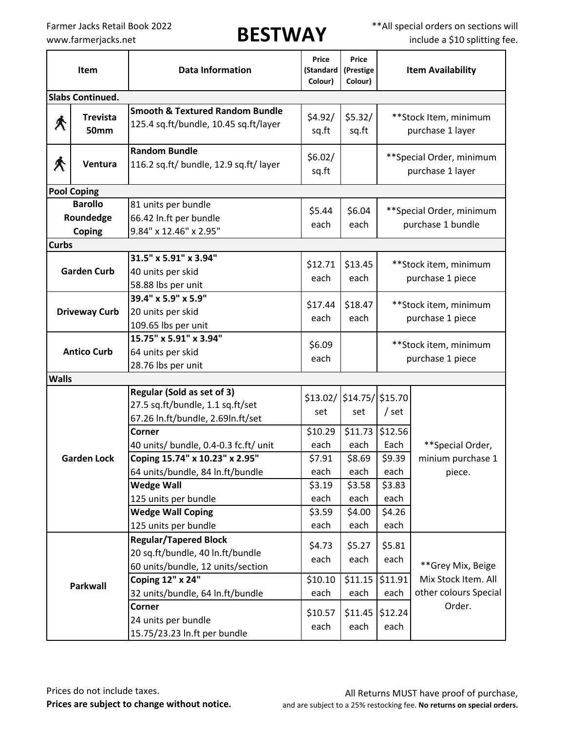Farmer Jacks Retail Book 2022<br> **BESTWAY** \*\*All special orders on sections will<br>
include a \$10 splitting fee. include a \$10 splitting fee.

| Item         |                                       | <b>Data Information</b>                                                                                                   | Price<br>(Standard<br>Colour)     | Price<br>(Prestige<br>Colour)     | <b>Item Availability</b>                       |                                               |  |
|--------------|---------------------------------------|---------------------------------------------------------------------------------------------------------------------------|-----------------------------------|-----------------------------------|------------------------------------------------|-----------------------------------------------|--|
|              | <b>Slabs Continued.</b>               |                                                                                                                           |                                   |                                   |                                                |                                               |  |
| ∕∖           | <b>Trevista</b><br><b>50mm</b>        | <b>Smooth &amp; Textured Random Bundle</b><br>125.4 sq.ft/bundle, 10.45 sq.ft/layer                                       | \$4.92/<br>sq.ft                  | \$5.32/<br>sq.ft                  |                                                | **Stock Item, minimum<br>purchase 1 layer     |  |
| ≮            | Ventura                               | <b>Random Bundle</b><br>116.2 sq.ft/ bundle, 12.9 sq.ft/ layer                                                            | \$6.02/<br>sq.ft                  |                                   |                                                | ** Special Order, minimum<br>purchase 1 layer |  |
|              | <b>Pool Coping</b>                    |                                                                                                                           |                                   |                                   |                                                |                                               |  |
| <b>Curbs</b> | <b>Barollo</b><br>Roundedge<br>Coping | 81 units per bundle<br>66.42 In.ft per bundle<br>9.84" x 12.46" x 2.95"                                                   | \$5.44<br>each                    | \$6.04<br>each                    | ** Special Order, minimum<br>purchase 1 bundle |                                               |  |
|              | <b>Garden Curb</b>                    | 31.5" x 5.91" x 3.94"<br>40 units per skid<br>58.88 lbs per unit                                                          | \$12.71<br>each                   | \$13.45<br>each                   | **Stock item, minimum<br>purchase 1 piece      |                                               |  |
|              | <b>Driveway Curb</b>                  | 39.4" x 5.9" x 5.9"<br>20 units per skid<br>109.65 lbs per unit                                                           | \$17.44<br>each                   | \$18.47<br>each                   | **Stock item, minimum<br>purchase 1 piece      |                                               |  |
|              | <b>Antico Curb</b>                    | 15.75" x 5.91" x 3.94"<br>64 units per skid<br>28.76 lbs per unit                                                         | \$6.09<br>each                    |                                   | **Stock item, minimum<br>purchase 1 piece      |                                               |  |
| <b>Walls</b> |                                       |                                                                                                                           |                                   |                                   |                                                |                                               |  |
|              |                                       | Regular (Sold as set of 3)<br>27.5 sq.ft/bundle, 1.1 sq.ft/set<br>67.26 In.ft/bundle, 2.69In.ft/set                       | set                               | \$13.02/ \$14.75/ \$15.70<br>set  | $/$ set                                        |                                               |  |
|              | <b>Garden Lock</b>                    | Corner<br>40 units/ bundle, 0.4-0.3 fc.ft/ unit<br>Coping 15.74" x 10.23" x 2.95"<br>64 units/bundle, 84 In.ft/bundle     | \$10.29<br>each<br>\$7.91<br>each | \$11.73<br>each<br>\$8.69<br>each | \$12.56<br>Each<br>\$9.39<br>each              | **Special Order,<br>minium purchase 1         |  |
|              |                                       | <b>Wedge Wall</b><br>125 units per bundle<br><b>Wedge Wall Coping</b><br>125 units per bundle                             | \$3.19<br>each<br>\$3.59<br>each  | \$3.58<br>each<br>\$4.00<br>each  | \$3.83<br>each<br>\$4.26<br>each               | piece.                                        |  |
|              | <b>Parkwall</b>                       | <b>Regular/Tapered Block</b><br>20 sq.ft/bundle, 40 ln.ft/bundle<br>60 units/bundle, 12 units/section<br>Coping 12" x 24" | \$4.73<br>each<br>\$10.10         | \$5.27<br>each<br>\$11.15         | \$5.81<br>each<br>\$11.91                      | **Grey Mix, Beige<br>Mix Stock Item. All      |  |
|              |                                       | 32 units/bundle, 64 ln.ft/bundle<br>Corner<br>24 units per bundle<br>15.75/23.23 In.ft per bundle                         | each<br>\$10.57<br>each           | each<br>\$11.45<br>each           | each<br>\$12.24<br>each                        | other colours Special<br>Order.               |  |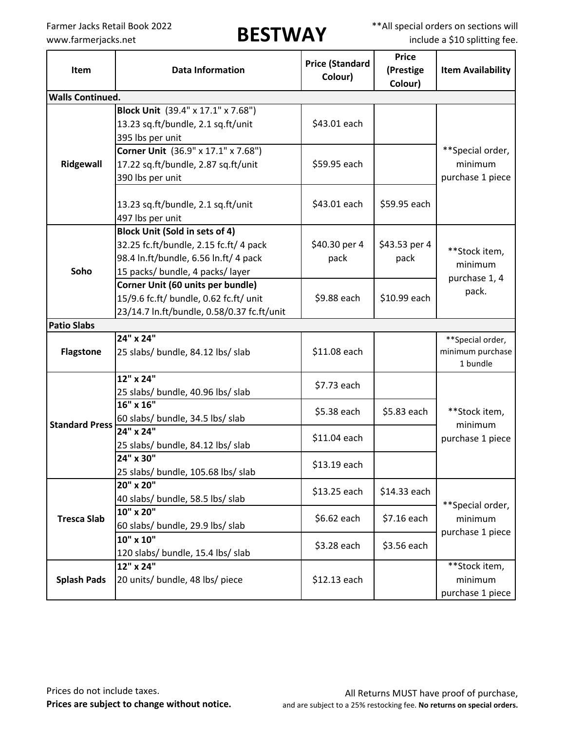Farmer Jacks Retail Book 2022<br> **BESTWAY** \*\*All special orders on sections will<br>
include a \$10 splitting fee. include a \$10 splitting fee.

| Item                    | <b>Price (Standard</b><br><b>Data Information</b><br>Colour) |               | <b>Price</b><br>(Prestige<br>Colour) | <b>Item Availability</b> |
|-------------------------|--------------------------------------------------------------|---------------|--------------------------------------|--------------------------|
| <b>Walls Continued.</b> |                                                              |               |                                      |                          |
|                         | Block Unit (39.4" x 17.1" x 7.68")                           |               |                                      |                          |
|                         | 13.23 sq.ft/bundle, 2.1 sq.ft/unit                           | \$43.01 each  |                                      |                          |
|                         | 395 lbs per unit                                             |               |                                      |                          |
|                         | Corner Unit (36.9" x 17.1" x 7.68")                          |               |                                      | **Special order,         |
| Ridgewall               | 17.22 sq.ft/bundle, 2.87 sq.ft/unit                          | \$59.95 each  |                                      | minimum                  |
|                         | 390 lbs per unit                                             |               |                                      | purchase 1 piece         |
|                         |                                                              |               |                                      |                          |
|                         | 13.23 sq.ft/bundle, 2.1 sq.ft/unit                           | \$43.01 each  | \$59.95 each                         |                          |
|                         | 497 lbs per unit                                             |               |                                      |                          |
|                         | <b>Block Unit (Sold in sets of 4)</b>                        |               |                                      |                          |
|                         | 32.25 fc.ft/bundle, 2.15 fc.ft/ 4 pack                       | \$40.30 per 4 | \$43.53 per 4                        | **Stock item,            |
|                         | 98.4 In.ft/bundle, 6.56 In.ft/ 4 pack                        | pack          | pack                                 | minimum                  |
| Soho                    | 15 packs/ bundle, 4 packs/ layer                             |               |                                      | purchase 1, 4            |
|                         | Corner Unit (60 units per bundle)                            |               |                                      | pack.                    |
|                         | 15/9.6 fc.ft/ bundle, 0.62 fc.ft/ unit                       | \$9.88 each   | \$10.99 each                         |                          |
|                         | 23/14.7 In.ft/bundle, 0.58/0.37 fc.ft/unit                   |               |                                      |                          |
| <b>Patio Slabs</b>      |                                                              |               |                                      |                          |
|                         | 24" x 24"                                                    |               |                                      | **Special order,         |
| <b>Flagstone</b>        | 25 slabs/ bundle, 84.12 lbs/ slab                            | \$11.08 each  |                                      | minimum purchase         |
|                         |                                                              |               |                                      | 1 bundle                 |
|                         | 12" x 24"                                                    | \$7.73 each   |                                      |                          |
|                         | 25 slabs/ bundle, 40.96 lbs/ slab                            |               |                                      |                          |
|                         | $16''$ x $16''$                                              | \$5.38 each   | \$5.83 each                          | **Stock item,            |
| <b>Standard Press</b>   | 60 slabs/ bundle, 34.5 lbs/ slab<br>24" x 24"                |               |                                      | minimum                  |
|                         |                                                              | \$11.04 each  |                                      | purchase 1 piece         |
|                         | 25 slabs/ bundle, 84.12 lbs/ slab<br>24" x 30"               |               |                                      |                          |
|                         | 25 slabs/ bundle, 105.68 lbs/ slab                           | \$13.19 each  |                                      |                          |
|                         | 20" x 20"                                                    |               |                                      |                          |
|                         | 40 slabs/ bundle, 58.5 lbs/ slab                             | \$13.25 each  | \$14.33 each                         |                          |
|                         | 10" x 20"                                                    |               |                                      | **Special order,         |
| <b>Tresca Slab</b>      | 60 slabs/ bundle, 29.9 lbs/ slab                             | \$6.62 each   | \$7.16 each                          | minimum                  |
|                         | 10" x 10"                                                    |               |                                      | purchase 1 piece         |
|                         | 120 slabs/ bundle, 15.4 lbs/ slab                            | \$3.28 each   | \$3.56 each                          |                          |
|                         | 12" x 24"                                                    |               |                                      | **Stock item,            |
| <b>Splash Pads</b>      | 20 units/ bundle, 48 lbs/ piece                              | \$12.13 each  |                                      | minimum                  |
|                         |                                                              |               |                                      | purchase 1 piece         |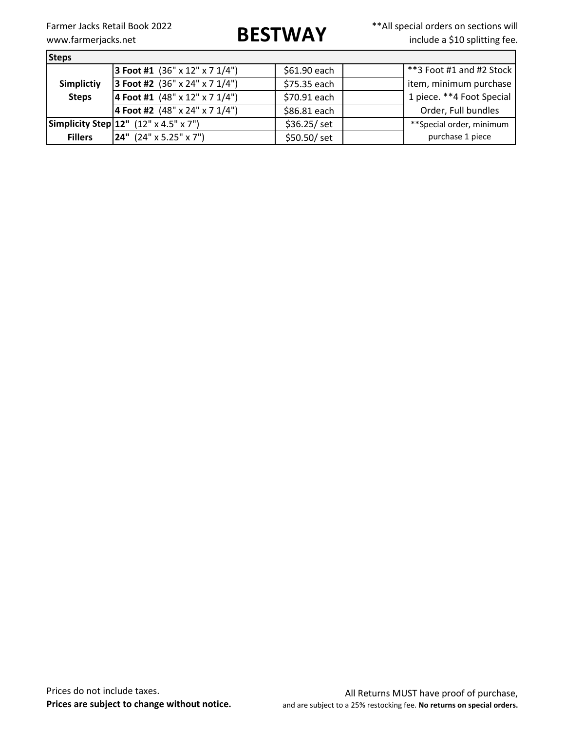Farmer Jacks Retail Book 2022<br> **BESTWAY** \*\*All special orders on sections will<br>
include a \$10 splitting fee. include a \$10 splitting fee.

| <b>Steps</b>      |                                                          |              |                           |  |  |  |
|-------------------|----------------------------------------------------------|--------------|---------------------------|--|--|--|
|                   | <b>3 Foot #1</b> $(36" \times 12" \times 7 \frac{1}{4")$ | \$61.90 each | **3 Foot #1 and #2 Stock  |  |  |  |
| <b>Simplictiy</b> | <b>3 Foot #2</b> $(36" \times 24" \times 7 \frac{1}{4")$ | \$75.35 each | item, minimum purchase    |  |  |  |
| <b>Steps</b>      | 4 Foot #1 $(48" \times 12" \times 7 \frac{1}{4")}$       | \$70.91 each | 1 piece. **4 Foot Special |  |  |  |
|                   | 4 Foot #2 $(48" \times 24" \times 7 \frac{1}{4")}$       | \$86.81 each | Order, Full bundles       |  |  |  |
|                   | <b>Simplicity Step 12"</b> $(12" \times 4.5" \times 7")$ | \$36.25/ set | **Special order, minimum  |  |  |  |
| <b>Fillers</b>    | [24" (24" x 5.25" x 7")                                  | \$50.50/ set | purchase 1 piece          |  |  |  |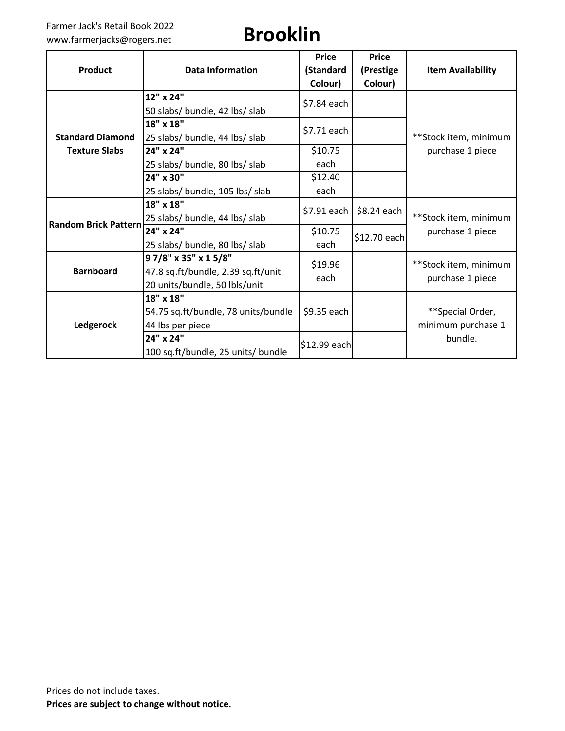### Farmer Jack's Retail Book 2022 Farmer Jack's Retail Book 2022<br>www.farmerjacks@rogers.net **Brooklin**

| <b>Product</b>              | <b>Data Information</b>                                                                    | <b>Price</b><br>(Standard<br>Colour) | <b>Price</b><br>(Prestige<br>Colour) | <b>Item Availability</b>                  |
|-----------------------------|--------------------------------------------------------------------------------------------|--------------------------------------|--------------------------------------|-------------------------------------------|
|                             | 12" x 24"<br>50 slabs/ bundle, 42 lbs/ slab                                                | \$7.84 each                          |                                      |                                           |
| <b>Standard Diamond</b>     | 18" x 18"<br>25 slabs/ bundle, 44 lbs/ slab                                                | \$7.71 each                          |                                      | **Stock item, minimum                     |
| <b>Texture Slabs</b>        | 24" x 24"                                                                                  | \$10.75                              |                                      | purchase 1 piece                          |
|                             | 25 slabs/ bundle, 80 lbs/ slab                                                             | each                                 |                                      |                                           |
|                             | 24" x 30"                                                                                  | \$12.40                              |                                      |                                           |
|                             | 25 slabs/ bundle, 105 lbs/ slab                                                            | each                                 |                                      |                                           |
|                             | 18" x 18"                                                                                  | \$7.91 each                          | \$8.24 each                          |                                           |
| <b>Random Brick Pattern</b> | 25 slabs/ bundle, 44 lbs/ slab<br>24" x 24"<br>25 slabs/ bundle, 80 lbs/ slab              | \$10.75<br>each                      | \$12.70 each                         | **Stock item, minimum<br>purchase 1 piece |
| <b>Barnboard</b>            | 97/8" x 35" x 15/8"<br>47.8 sq.ft/bundle, 2.39 sq.ft/unit<br>20 units/bundle, 50 lbls/unit | \$19.96<br>each                      |                                      | **Stock item, minimum<br>purchase 1 piece |
| Ledgerock                   | 18" x 18"<br>54.75 sq.ft/bundle, 78 units/bundle<br>44 lbs per piece                       | \$9.35 each                          |                                      | **Special Order,<br>minimum purchase 1    |
|                             | 24" x 24"<br>100 sq.ft/bundle, 25 units/ bundle                                            | \$12.99 each                         |                                      | bundle.                                   |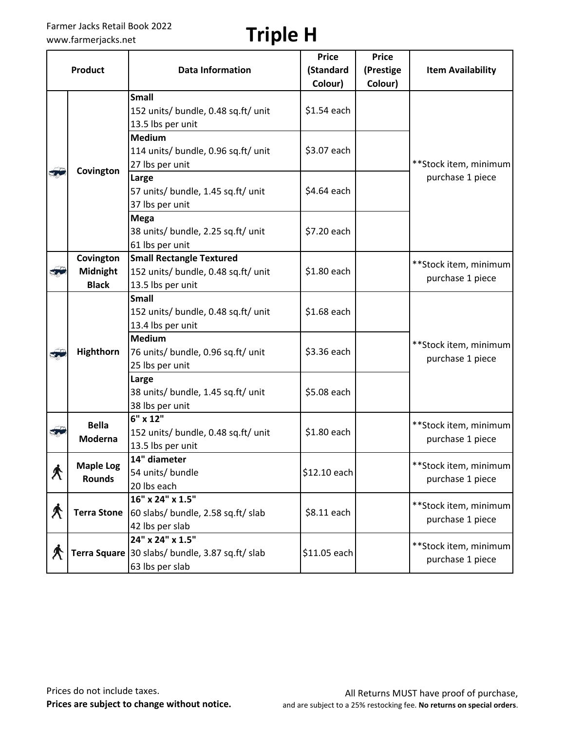### Farmer Jacks Retail Book 2022 Farmer Jacks Retail Book 2022<br>www.farmerjacks.net **Triple H**

|              |                                   |                                                                                        | <b>Price</b> | <b>Price</b> |                                           |
|--------------|-----------------------------------|----------------------------------------------------------------------------------------|--------------|--------------|-------------------------------------------|
|              | <b>Product</b>                    | <b>Data Information</b>                                                                | (Standard    | (Prestige    | <b>Item Availability</b>                  |
|              |                                   |                                                                                        | Colour)      | Colour)      |                                           |
|              |                                   | <b>Small</b><br>152 units/ bundle, 0.48 sq.ft/ unit<br>13.5 lbs per unit               | $$1.54$ each |              |                                           |
|              | Covington                         | <b>Medium</b><br>114 units/ bundle, 0.96 sq.ft/ unit<br>27 lbs per unit                | \$3.07 each  |              | **Stock item, minimum                     |
| $\mathbf{v}$ |                                   | Large<br>57 units/ bundle, 1.45 sq.ft/ unit<br>37 lbs per unit                         | \$4.64 each  |              | purchase 1 piece                          |
|              |                                   | <b>Mega</b><br>38 units/ bundle, 2.25 sq.ft/ unit<br>61 lbs per unit                   | \$7.20 each  |              |                                           |
|              | Covington                         | <b>Small Rectangle Textured</b>                                                        |              |              | **Stock item, minimum                     |
| $\mathbf{r}$ | Midnight                          | 152 units/ bundle, 0.48 sq.ft/ unit                                                    | \$1.80 each  |              | purchase 1 piece                          |
|              | <b>Black</b>                      | 13.5 lbs per unit                                                                      |              |              |                                           |
|              |                                   | <b>Small</b><br>152 units/ bundle, 0.48 sq.ft/ unit<br>13.4 lbs per unit               | \$1.68 each  |              |                                           |
| E.           | Highthorn                         | <b>Medium</b><br>76 units/ bundle, 0.96 sq.ft/ unit<br>25 lbs per unit                 | \$3.36 each  |              | **Stock item, minimum<br>purchase 1 piece |
|              |                                   | Large<br>38 units/ bundle, 1.45 sq.ft/ unit<br>38 lbs per unit                         | \$5.08 each  |              |                                           |
| 37           | <b>Bella</b><br>Moderna           | 6" x 12"<br>152 units/ bundle, 0.48 sq.ft/ unit<br>13.5 lbs per unit                   | \$1.80 each  |              | **Stock item, minimum<br>purchase 1 piece |
| $\bigwedge$  | <b>Maple Log</b><br><b>Rounds</b> | 14" diameter<br>54 units/ bundle<br>20 lbs each                                        | \$12.10 each |              | **Stock item, minimum<br>purchase 1 piece |
| $\bigwedge$  | <b>Terra Stone</b>                | 16" x 24" x 1.5"<br>60 slabs/ bundle, 2.58 sq.ft/ slab<br>42 lbs per slab              | \$8.11 each  |              | **Stock item, minimum<br>purchase 1 piece |
| $\bigwedge$  |                                   | 24" x 24" x 1.5"<br>Terra Square 30 slabs/ bundle, 3.87 sq.ft/ slab<br>63 lbs per slab | \$11.05 each |              | **Stock item, minimum<br>purchase 1 piece |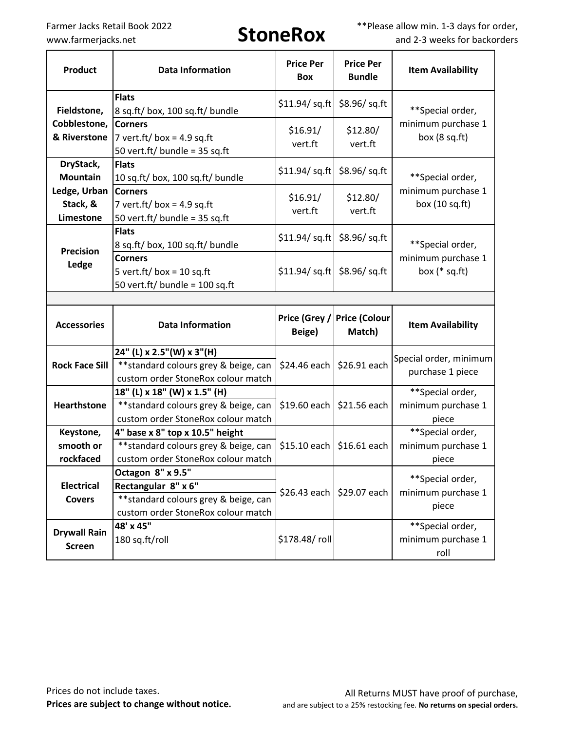Farmer Jacks Retail Book 2022<br> **StoneRox** \*\*\*Please allow min. 1-3 days for order,<br>
www.farmerjacks.net **StoneRox** \*\*\*Please allow min. 1-3 days for order, and 2-3 weeks for backorders

| <b>Product</b>                        | <b>Data Information</b>                                                                                                 | <b>Price Per</b><br><b>Box</b>   | <b>Price Per</b><br><b>Bundle</b>     | <b>Item Availability</b>                        |
|---------------------------------------|-------------------------------------------------------------------------------------------------------------------------|----------------------------------|---------------------------------------|-------------------------------------------------|
| Fieldstone,                           | <b>Flats</b><br>8 sq.ft/ box, 100 sq.ft/ bundle                                                                         | $$11.94$ / sq.ft                 | $$8.96$ / sq.ft                       | **Special order,                                |
| Cobblestone,<br>& Riverstone          | <b>Corners</b><br>7 vert.ft/ box = 4.9 sq.ft<br>50 vert.ft/ bundle = $35$ sq.ft                                         | \$16.91/<br>vert.ft              | \$12.80/<br>vert.ft                   | minimum purchase 1<br>box $(8 sq.fit)$          |
| DryStack,<br><b>Mountain</b>          | <b>Flats</b><br>10 sq.ft/ box, 100 sq.ft/ bundle                                                                        |                                  | \$11.94 / sq.ft<br>$$8.96$ / sq.ft    | **Special order,                                |
| Ledge, Urban<br>Stack, &<br>Limestone | <b>Corners</b><br>7 vert.ft/ box = 4.9 sq.ft<br>50 vert.ft/ bundle = $35$ sq.ft                                         | \$16.91/<br>vert.ft              | \$12.80/<br>vert.ft                   | minimum purchase 1<br>box $(10 sq.fit)$         |
| <b>Precision</b>                      | <b>Flats</b><br>8 sq.ft/ box, 100 sq.ft/ bundle                                                                         | $$11.94$ / sq.ft                 | \$8.96/sq.ft                          | **Special order,                                |
| Ledge                                 | <b>Corners</b><br>5 vert.ft/ box = 10 sq.ft<br>50 vert.ft/ bundle = $100$ sq.ft                                         | $$11.94$ / sq.ft $$8.96$ / sq.ft |                                       | minimum purchase 1<br>box $(*$ sq.ft)           |
|                                       |                                                                                                                         |                                  |                                       |                                                 |
|                                       |                                                                                                                         |                                  |                                       |                                                 |
| <b>Accessories</b>                    | <b>Data Information</b>                                                                                                 | Beige)                           | Price (Grey / Price (Colour<br>Match) | <b>Item Availability</b>                        |
| <b>Rock Face Sill</b>                 | 24" (L) x 2.5" (W) x 3" (H)<br>** standard colours grey & beige, can<br>custom order StoneRox colour match              | \$24.46 each   \$26.91 each      |                                       | Special order, minimum<br>purchase 1 piece      |
| <b>Hearthstone</b>                    | 18" (L) x 18" (W) x 1.5" (H)<br>** standard colours grey & beige, can<br>custom order StoneRox colour match             | $$19.60$ each                    | \$21.56 each                          | **Special order,<br>minimum purchase 1<br>piece |
| Keystone,                             | 4" base x 8" top x 10.5" height                                                                                         |                                  |                                       | **Special order,                                |
| smooth or                             | ** standard colours grey & beige, can                                                                                   | $$15.10$ each                    | \$16.61 each                          | minimum purchase 1                              |
| rockfaced                             | custom order StoneRox colour match                                                                                      |                                  |                                       | piece                                           |
| <b>Electrical</b><br><b>Covers</b>    | Octagon 8" x 9.5"<br>Rectangular 8" x 6"<br>** standard colours grey & beige, can<br>custom order StoneRox colour match | \$26.43 each                     | \$29.07 each                          | **Special order,<br>minimum purchase 1<br>piece |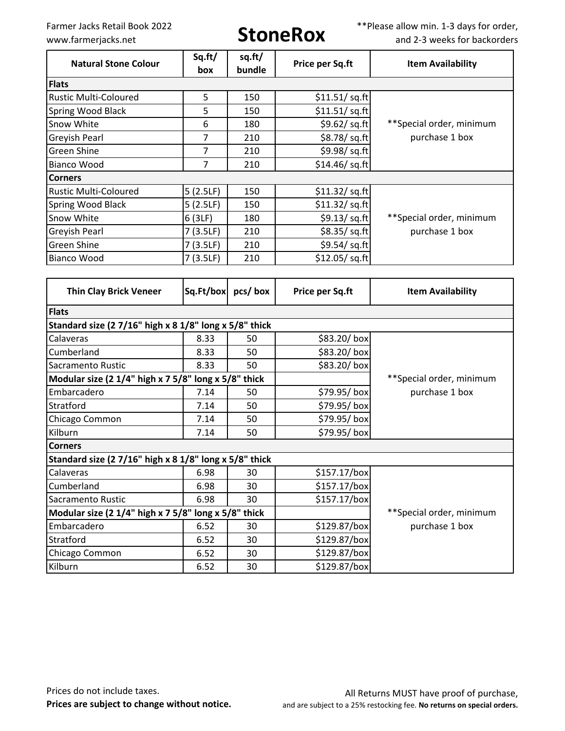Farmer Jacks Retail Book 2022<br> **StoneRox** \*\*\*Please allow min. 1-3 days for order,<br>
www.farmerjacks.net **StoneRox** \*\*\*Please allow min. 1-3 days for order, and 2-3 weeks for backorders

| <b>Natural Stone Colour</b>   | Sq.ft/<br>box | sq.ft/<br>bundle | Price per Sq.ft        | <b>Item Availability</b> |
|-------------------------------|---------------|------------------|------------------------|--------------------------|
| <b>Flats</b>                  |               |                  |                        |                          |
| <b>Rustic Multi-Coloured</b>  | 5             | 150              | \$11.51/ sq. ft        |                          |
| <b>Spring Wood Black</b>      | 5             | 150              | \$11.51/ sq. ft        |                          |
| Snow White                    | 6             | 180              | \$9.62/sq.ft           | **Special order, minimum |
| <b>Greyish Pearl</b>          | 7             | 210              | \$8.78/sq.ft           | purchase 1 box           |
| <b>Green Shine</b>            | 7             | 210              | \$9.98/sq.ft           |                          |
| <b>Bianco Wood</b>            | 7             | 210              | \$14.46 / sq.ft        |                          |
| <b>Corners</b>                |               |                  |                        |                          |
| <b>Rustic Multi-Coloured</b>  | 5(2.5LF)      | 150              | $$11.32$ / sq.ft       |                          |
| Spring Wood Black             | 5(2.5LF)      | 150              | $$11.32$ / sq.ft       |                          |
| Snow White                    | 6(3LF)        | 180              | $$9.13$ /sq.ft         | **Special order, minimum |
| <b>Greyish Pearl</b>          | 7(3.5LF)      | 210              | \$8.35/sq.ft           | purchase 1 box           |
| <b>Green Shine</b>            | 7(3.5LF)      | 210              | \$9.54/sq.ft           |                          |
| <b>Bianco Wood</b>            | 7(3.5LF)      | 210              | \$12.05/ sq.fit]       |                          |
|                               |               |                  |                        |                          |
| <b>Thin Clay Brick Veneer</b> | Sq.Ft/box     | pcs/box          | <b>Price per Sq.ft</b> | <b>Item Availability</b> |

| <b>Flats</b>                                           |      |    |              |                          |
|--------------------------------------------------------|------|----|--------------|--------------------------|
| Standard size (2 7/16" high x 8 1/8" long x 5/8" thick |      |    |              |                          |
| Calaveras                                              | 8.33 | 50 | \$83.20/box  |                          |
| Cumberland                                             | 8.33 | 50 | \$83.20/box  |                          |
| Sacramento Rustic                                      | 8.33 | 50 | \$83.20/box  |                          |
| Modular size (2 1/4" high x 7 5/8" long x 5/8" thick   |      |    |              | **Special order, minimum |
| Embarcadero                                            | 7.14 | 50 | \$79.95/box  | purchase 1 box           |
| Stratford                                              | 7.14 | 50 | \$79.95/box  |                          |
| Chicago Common                                         | 7.14 | 50 | \$79.95/box  |                          |
| Kilburn                                                | 7.14 | 50 | \$79.95/box  |                          |
| <b>Corners</b>                                         |      |    |              |                          |
| Standard size (2 7/16" high x 8 1/8" long x 5/8" thick |      |    |              |                          |
| Calaveras                                              | 6.98 | 30 | \$157.17/box |                          |
| Cumberland                                             | 6.98 | 30 | \$157.17/box |                          |
| Sacramento Rustic                                      | 6.98 | 30 | \$157.17/box |                          |
| Modular size (2 1/4" high x 7 5/8" long x 5/8" thick   |      |    |              | **Special order, minimum |
| Embarcadero                                            | 6.52 | 30 | \$129.87/box | purchase 1 box           |
| Stratford                                              | 6.52 | 30 | \$129.87/box |                          |
| Chicago Common                                         | 6.52 | 30 | \$129.87/box |                          |
| Kilburn                                                | 6.52 | 30 | \$129.87/box |                          |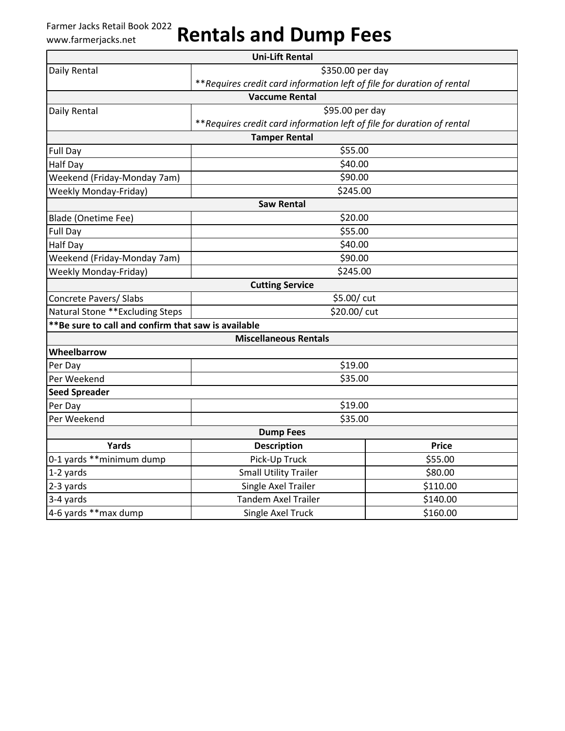# Farmer Jacks Retail Book 2022 www.farmerjacks.net **Rentals and Dump Fees**

|                                                     | <b>Uni-Lift Rental</b>                                                  |          |  |
|-----------------------------------------------------|-------------------------------------------------------------------------|----------|--|
| Daily Rental                                        | \$350.00 per day                                                        |          |  |
|                                                     | ** Requires credit card information left of file for duration of rental |          |  |
|                                                     | <b>Vaccume Rental</b>                                                   |          |  |
| Daily Rental                                        | \$95.00 per day                                                         |          |  |
|                                                     | ** Requires credit card information left of file for duration of rental |          |  |
|                                                     | <b>Tamper Rental</b>                                                    |          |  |
| Full Day                                            | \$55.00                                                                 |          |  |
| <b>Half Day</b>                                     | \$40.00                                                                 |          |  |
| Weekend (Friday-Monday 7am)                         | \$90.00                                                                 |          |  |
| <b>Weekly Monday-Friday)</b>                        | \$245.00                                                                |          |  |
|                                                     | <b>Saw Rental</b>                                                       |          |  |
| Blade (Onetime Fee)                                 | \$20.00                                                                 |          |  |
| Full Day                                            | \$55.00                                                                 |          |  |
| Half Day                                            | \$40.00                                                                 |          |  |
| Weekend (Friday-Monday 7am)                         | \$90.00                                                                 |          |  |
| <b>Weekly Monday-Friday)</b>                        | \$245.00                                                                |          |  |
|                                                     | <b>Cutting Service</b>                                                  |          |  |
| Concrete Pavers/ Slabs                              | \$5.00/ cut                                                             |          |  |
| Natural Stone ** Excluding Steps                    | \$20.00/ cut                                                            |          |  |
| **Be sure to call and confirm that saw is available |                                                                         |          |  |
|                                                     | <b>Miscellaneous Rentals</b>                                            |          |  |
| Wheelbarrow                                         |                                                                         |          |  |
| Per Day                                             | \$19.00                                                                 |          |  |
| Per Weekend                                         | \$35.00                                                                 |          |  |
| <b>Seed Spreader</b>                                |                                                                         |          |  |
| Per Day                                             | \$19.00                                                                 |          |  |
| Per Weekend                                         | \$35.00                                                                 |          |  |
|                                                     | <b>Dump Fees</b>                                                        |          |  |
| Yards                                               | <b>Description</b>                                                      | Price    |  |
| 0-1 yards **minimum dump                            | Pick-Up Truck                                                           | \$55.00  |  |
| 1-2 yards                                           | <b>Small Utility Trailer</b>                                            | \$80.00  |  |
| 2-3 yards                                           | Single Axel Trailer                                                     | \$110.00 |  |
| 3-4 yards                                           | <b>Tandem Axel Trailer</b>                                              | \$140.00 |  |
| 4-6 yards ** max dump                               | Single Axel Truck                                                       | \$160.00 |  |